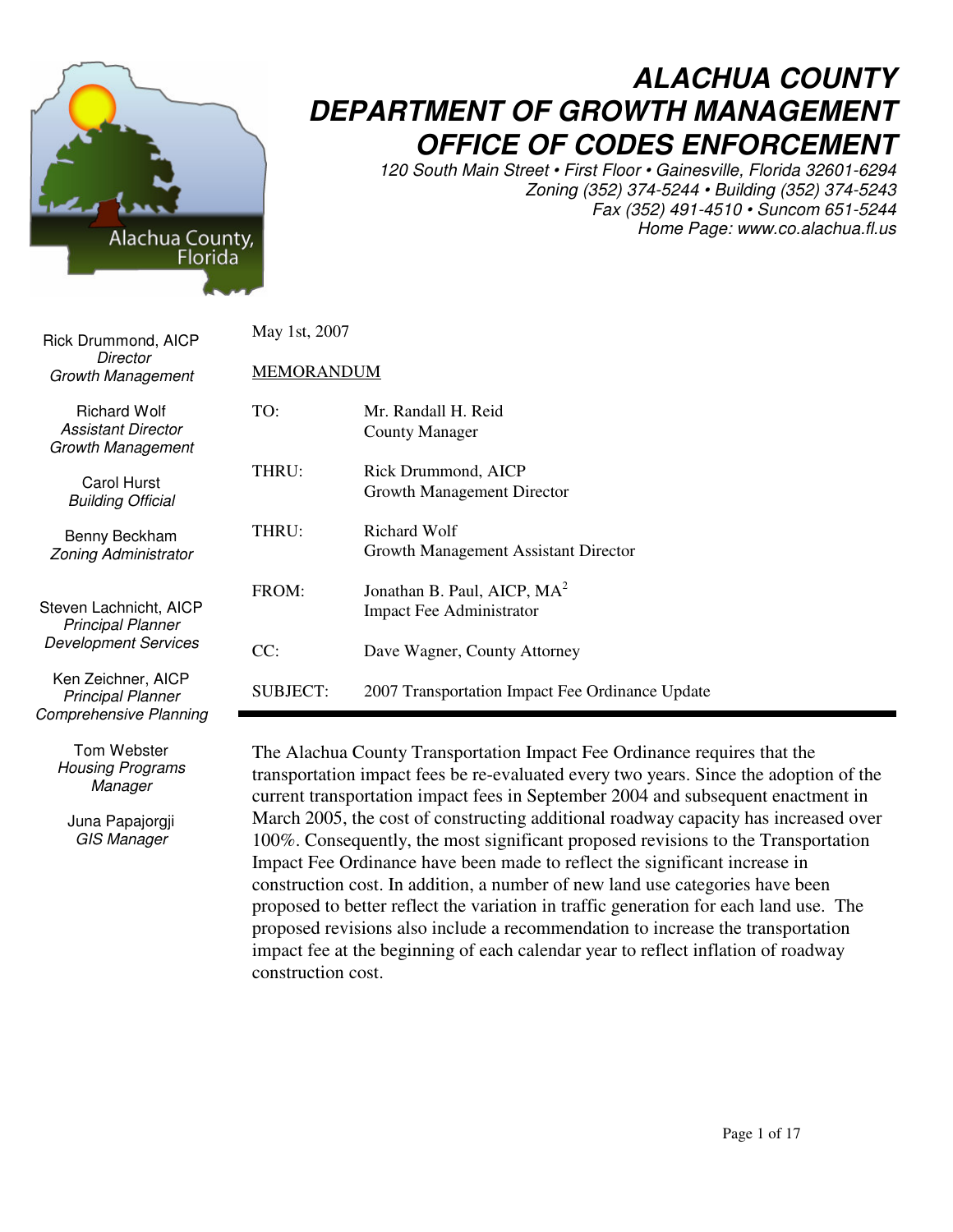

Tom Webster *Housing Programs Manager*

Juna Papajorgji *GIS Manager*

## *ALACHUA COUNTY DEPARTMENT OF GROWTH MANAGEMENT OFFICE OF CODES ENFORCEMENT*

*120 South Main Street • First Floor • Gainesville, Florida 32601-6294 Zoning (352) 374-5244 • Building (352) 374-5243 Fax (352) 491-4510 • Suncom 651-5244 Home Page: www.co.alachua.fl.us*

| Rick Drummond, AICP                                                               | May 1st, 2007          |                                                                                 |
|-----------------------------------------------------------------------------------|------------------------|---------------------------------------------------------------------------------|
| Director<br><b>Growth Management</b>                                              | <b>MEMORANDUM</b>      |                                                                                 |
| <b>Richard Wolf</b><br>Assistant Director<br>Growth Management                    | TO:                    | Mr. Randall H. Reid<br><b>County Manager</b>                                    |
| <b>Carol Hurst</b><br><b>Building Official</b>                                    | THRU:                  | Rick Drummond, AICP<br>Growth Management Director                               |
| Benny Beckham<br><b>Zoning Administrator</b>                                      | THRU:                  | Richard Wolf<br>Growth Management Assistant Director                            |
| Steven Lachnicht, AICP<br><b>Principal Planner</b><br><b>Development Services</b> | FROM:                  | Jonathan B. Paul, AICP, $MA2$<br>Impact Fee Administrator                       |
| Ken Zeichner, AICP<br><b>Principal Planner</b>                                    | CC:<br><b>SUBJECT:</b> | Dave Wagner, County Attorney<br>2007 Transportation Impact Fee Ordinance Update |
| Comprehensive Planning                                                            |                        |                                                                                 |

The Alachua County Transportation Impact Fee Ordinance requires that the transportation impact fees be re-evaluated every two years. Since the adoption of the current transportation impact fees in September 2004 and subsequent enactment in March 2005, the cost of constructing additional roadway capacity has increased over 100%. Consequently, the most significant proposed revisions to the Transportation Impact Fee Ordinance have been made to reflect the significant increase in construction cost. In addition, a number of new land use categories have been proposed to better reflect the variation in traffic generation for each land use. The proposed revisions also include a recommendation to increase the transportation impact fee at the beginning of each calendar year to reflect inflation of roadway construction cost.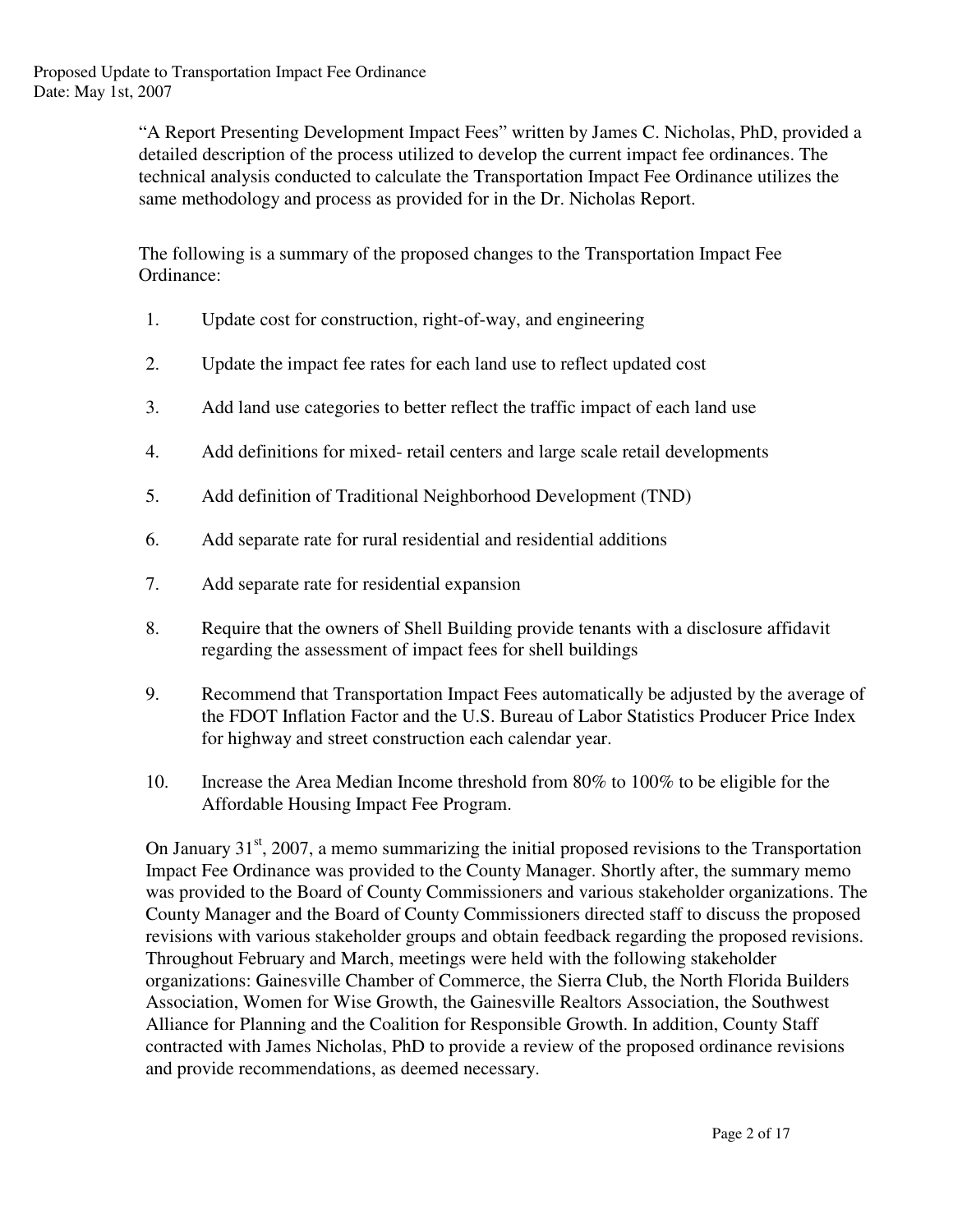"A Report Presenting Development Impact Fees" written by James C. Nicholas, PhD, provided a detailed description of the process utilized to develop the current impact fee ordinances. The technical analysis conducted to calculate the Transportation Impact Fee Ordinance utilizes the same methodology and process as provided for in the Dr. Nicholas Report.

The following is a summary of the proposed changes to the Transportation Impact Fee Ordinance:

- 1. Update cost for construction, right-of-way, and engineering
- 2. Update the impact fee rates for each land use to reflect updated cost
- 3. Add land use categories to better reflect the traffic impact of each land use
- 4. Add definitions for mixed- retail centers and large scale retail developments
- 5. Add definition of Traditional Neighborhood Development (TND)
- 6. Add separate rate for rural residential and residential additions
- 7. Add separate rate for residential expansion
- 8. Require that the owners of Shell Building provide tenants with a disclosure affidavit regarding the assessment of impact fees for shell buildings
- 9. Recommend that Transportation Impact Fees automatically be adjusted by the average of the FDOT Inflation Factor and the U.S. Bureau of Labor Statistics Producer Price Index for highway and street construction each calendar year.
- 10. Increase the Area Median Income threshold from 80% to 100% to be eligible for the Affordable Housing Impact Fee Program.

On January 31<sup>st</sup>, 2007, a memo summarizing the initial proposed revisions to the Transportation Impact Fee Ordinance was provided to the County Manager. Shortly after, the summary memo was provided to the Board of County Commissioners and various stakeholder organizations. The County Manager and the Board of County Commissioners directed staff to discuss the proposed revisions with various stakeholder groups and obtain feedback regarding the proposed revisions. Throughout February and March, meetings were held with the following stakeholder organizations: Gainesville Chamber of Commerce, the Sierra Club, the North Florida Builders Association, Women for Wise Growth, the Gainesville Realtors Association, the Southwest Alliance for Planning and the Coalition for Responsible Growth. In addition, County Staff contracted with James Nicholas, PhD to provide a review of the proposed ordinance revisions and provide recommendations, as deemed necessary.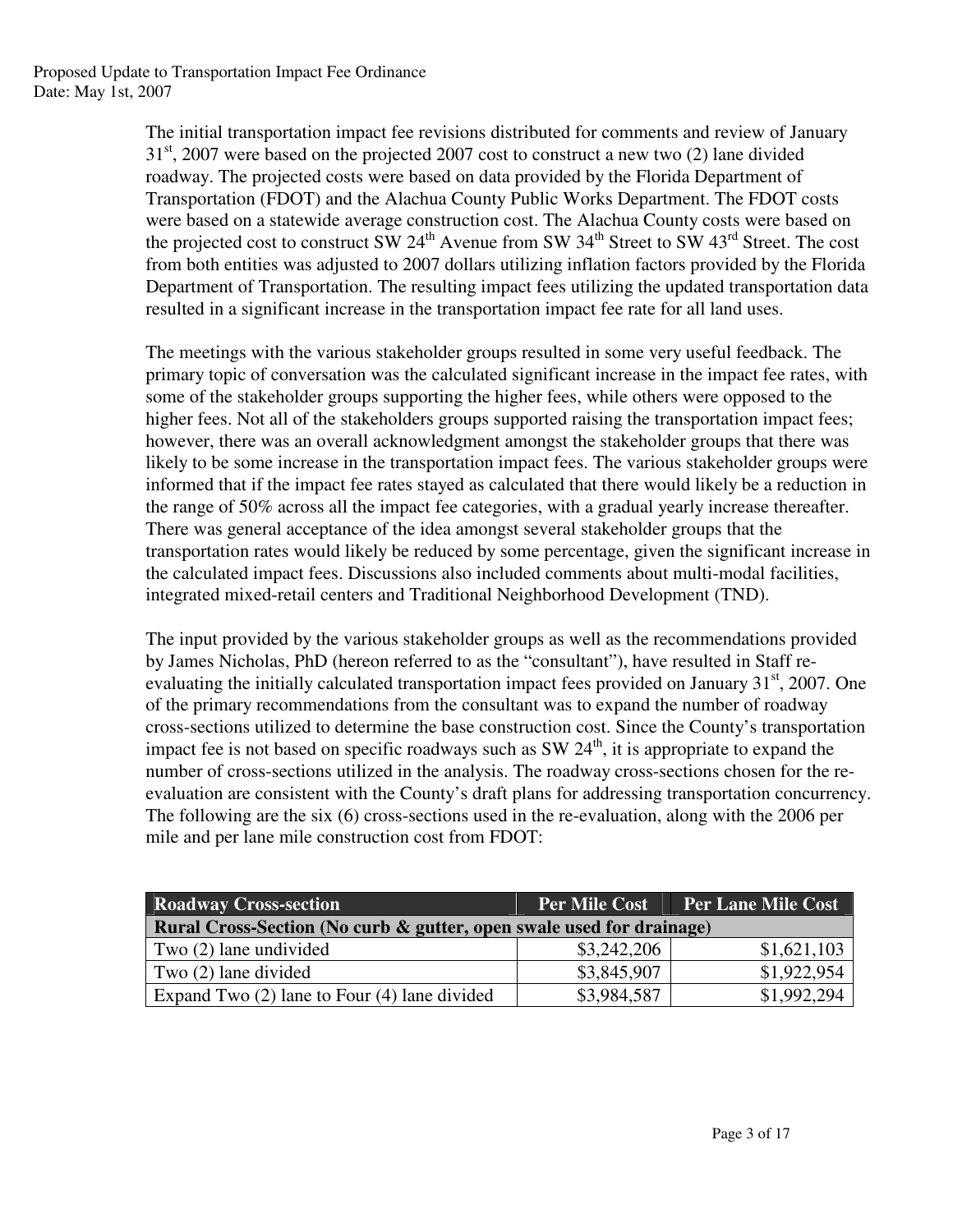The initial transportation impact fee revisions distributed for comments and review of January  $31<sup>st</sup>$ , 2007 were based on the projected 2007 cost to construct a new two (2) lane divided roadway. The projected costs were based on data provided by the Florida Department of Transportation (FDOT) and the Alachua County Public Works Department. The FDOT costs were based on a statewide average construction cost. The Alachua County costs were based on the projected cost to construct SW 24<sup>th</sup> Avenue from SW 34<sup>th</sup> Street to SW 43<sup>rd</sup> Street. The cost from both entities was adjusted to 2007 dollars utilizing inflation factors provided by the Florida Department of Transportation. The resulting impact fees utilizing the updated transportation data resulted in a significant increase in the transportation impact fee rate for all land uses.

The meetings with the various stakeholder groups resulted in some very useful feedback. The primary topic of conversation was the calculated significant increase in the impact fee rates, with some of the stakeholder groups supporting the higher fees, while others were opposed to the higher fees. Not all of the stakeholders groups supported raising the transportation impact fees; however, there was an overall acknowledgment amongst the stakeholder groups that there was likely to be some increase in the transportation impact fees. The various stakeholder groups were informed that if the impact fee rates stayed as calculated that there would likely be a reduction in the range of 50% across all the impact fee categories, with a gradual yearly increase thereafter. There was general acceptance of the idea amongst several stakeholder groups that the transportation rates would likely be reduced by some percentage, given the significant increase in the calculated impact fees. Discussions also included comments about multi-modal facilities, integrated mixed-retail centers and Traditional Neighborhood Development (TND).

The input provided by the various stakeholder groups as well as the recommendations provided by James Nicholas, PhD (hereon referred to as the "consultant"), have resulted in Staff reevaluating the initially calculated transportation impact fees provided on January 31<sup>st</sup>, 2007. One of the primary recommendations from the consultant was to expand the number of roadway cross-sections utilized to determine the base construction cost. Since the County's transportation impact fee is not based on specific roadways such as SW  $24<sup>th</sup>$ , it is appropriate to expand the number of cross-sections utilized in the analysis. The roadway cross-sections chosen for the reevaluation are consistent with the County's draft plans for addressing transportation concurrency. The following are the six (6) cross-sections used in the re-evaluation, along with the 2006 per mile and per lane mile construction cost from FDOT:

| <b>Roadway Cross-section</b>                                         | <b>Per Mile Cost</b> | <b>Per Lane Mile Cost</b> |  |  |
|----------------------------------------------------------------------|----------------------|---------------------------|--|--|
| Rural Cross-Section (No curb & gutter, open swale used for drainage) |                      |                           |  |  |
| Two (2) lane undivided                                               | \$3,242,206          | \$1,621,103               |  |  |
| Two $(2)$ lane divided                                               | \$3,845,907          | \$1,922,954               |  |  |
| Expand Two $(2)$ lane to Four $(4)$ lane divided                     | \$3,984,587          | \$1,992,294               |  |  |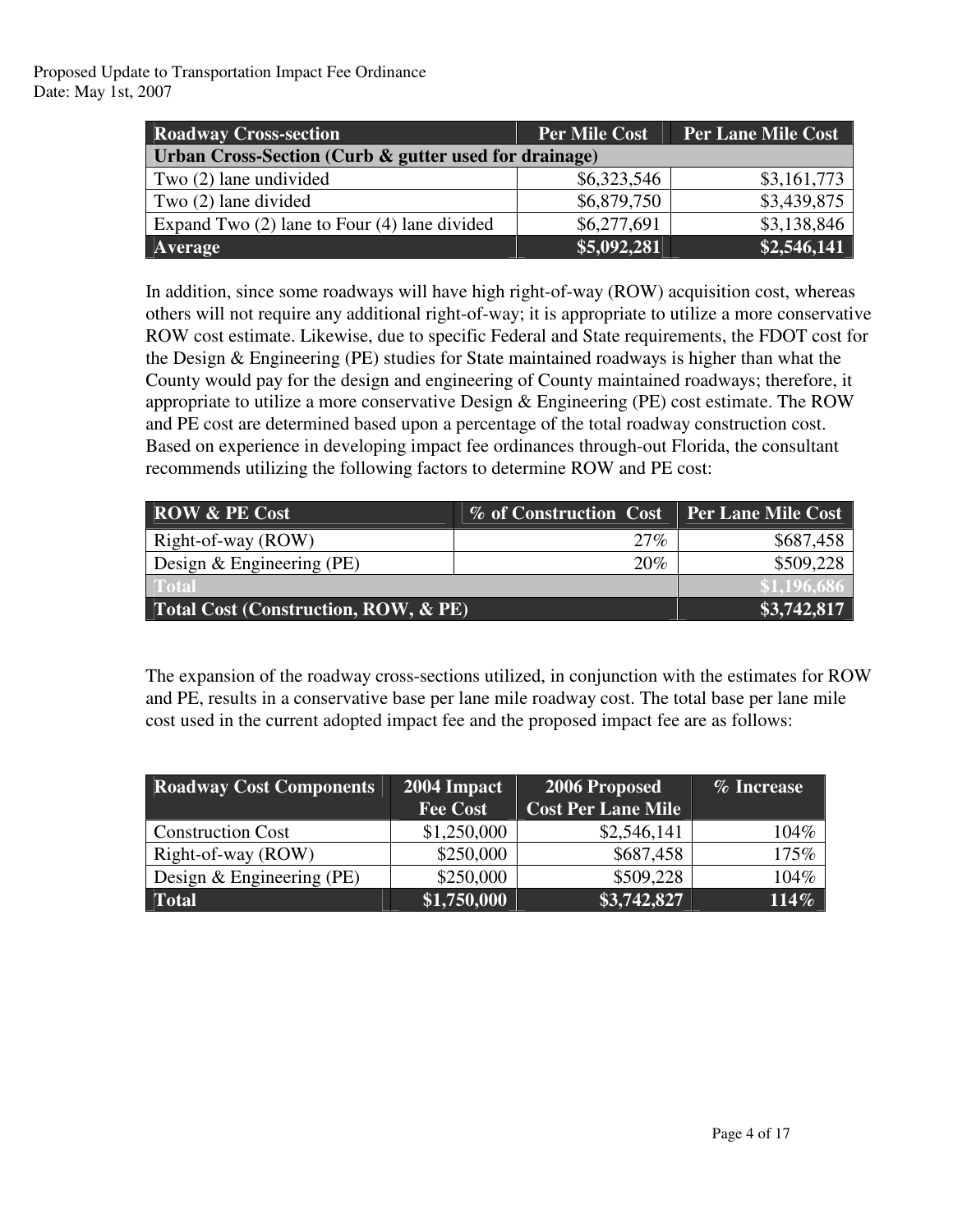| <b>Roadway Cross-section</b>                          | <b>Per Mile Cost</b> | <b>Per Lane Mile Cost</b> |  |  |
|-------------------------------------------------------|----------------------|---------------------------|--|--|
| Urban Cross-Section (Curb & gutter used for drainage) |                      |                           |  |  |
| Two (2) lane undivided                                | \$6,323,546          | \$3,161,773               |  |  |
| Two $(2)$ lane divided                                | \$6,879,750          | \$3,439,875               |  |  |
| Expand Two $(2)$ lane to Four $(4)$ lane divided      | \$6,277,691          | \$3,138,846               |  |  |
| Average                                               | \$5,092,281          | \$2,546,141               |  |  |

In addition, since some roadways will have high right-of-way (ROW) acquisition cost, whereas others will not require any additional right-of-way; it is appropriate to utilize a more conservative ROW cost estimate. Likewise, due to specific Federal and State requirements, the FDOT cost for the Design & Engineering (PE) studies for State maintained roadways is higher than what the County would pay for the design and engineering of County maintained roadways; therefore, it appropriate to utilize a more conservative Design & Engineering (PE) cost estimate. The ROW and PE cost are determined based upon a percentage of the total roadway construction cost. Based on experience in developing impact fee ordinances through-out Florida, the consultant recommends utilizing the following factors to determine ROW and PE cost:

| <b>ROW &amp; PE Cost</b>             | <b>% of Construction Cost</b> | <b>Per Lane Mile Cost</b> |
|--------------------------------------|-------------------------------|---------------------------|
| Right-of-way (ROW)                   | 27%                           | \$687,458                 |
| Design $&$ Engineering (PE)          | 20%                           | \$509,228                 |
| Total                                |                               | \$1,196,686               |
| Total Cost (Construction, ROW, & PE) | \$3,742,817                   |                           |

The expansion of the roadway cross-sections utilized, in conjunction with the estimates for ROW and PE, results in a conservative base per lane mile roadway cost. The total base per lane mile cost used in the current adopted impact fee and the proposed impact fee are as follows:

| <b>Roadway Cost Components</b> | 2004 Impact     | 2006 Proposed             | % Increase |
|--------------------------------|-----------------|---------------------------|------------|
|                                | <b>Fee Cost</b> | <b>Cost Per Lane Mile</b> |            |
| <b>Construction Cost</b>       | \$1,250,000     | \$2,546,141               | 104%       |
| Right-of-way (ROW)             | \$250,000       | \$687,458                 | 175%       |
| Design $&$ Engineering (PE)    | \$250,000       | \$509,228                 | 104%       |
| <b>Total</b>                   | \$1,750,000     | \$3,742,827               | 114%       |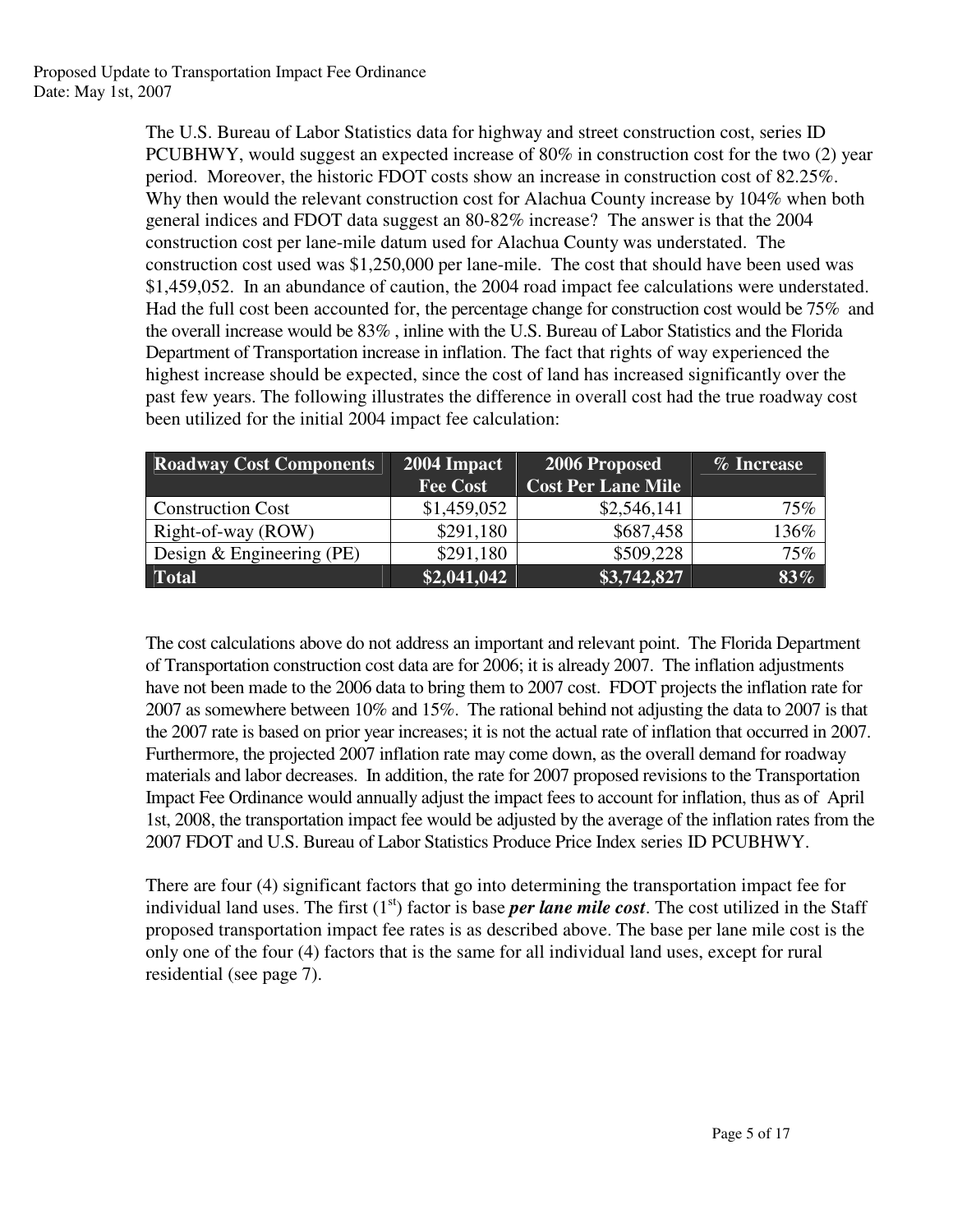The U.S. Bureau of Labor Statistics data for highway and street construction cost, series ID PCUBHWY, would suggest an expected increase of 80% in construction cost for the two (2) year period. Moreover, the historic FDOT costs show an increase in construction cost of 82.25%. Why then would the relevant construction cost for Alachua County increase by 104% when both general indices and FDOT data suggest an 80-82% increase? The answer is that the 2004 construction cost per lane-mile datum used for Alachua County was understated. The construction cost used was \$1,250,000 per lane-mile. The cost that should have been used was \$1,459,052. In an abundance of caution, the 2004 road impact fee calculations were understated. Had the full cost been accounted for, the percentage change for construction cost would be 75% and the overall increase would be 83% , inline with the U.S. Bureau of Labor Statistics and the Florida Department of Transportation increase in inflation. The fact that rights of way experienced the highest increase should be expected, since the cost of land has increased significantly over the past few years. The following illustrates the difference in overall cost had the true roadway cost been utilized for the initial 2004 impact fee calculation:

| <b>Roadway Cost Components</b> | 2004 Impact        | 2006 Proposed             | % Increase |
|--------------------------------|--------------------|---------------------------|------------|
|                                | <b>Fee Cost</b>    | <b>Cost Per Lane Mile</b> |            |
| <b>Construction Cost</b>       | \$1,459,052        | \$2,546,141               | 75%        |
| Right-of-way (ROW)             | \$291,180          | \$687,458                 | 136%       |
| Design $&$ Engineering (PE)    | \$291,180          | \$509,228                 | 75%        |
| <b>Total</b>                   | $\sqrt{2,041,042}$ | \$3,742,827               | $83\%$     |

The cost calculations above do not address an important and relevant point. The Florida Department of Transportation construction cost data are for 2006; it is already 2007. The inflation adjustments have not been made to the 2006 data to bring them to 2007 cost. FDOT projects the inflation rate for 2007 as somewhere between 10% and 15%. The rational behind not adjusting the data to 2007 is that the 2007 rate is based on prior year increases; it is not the actual rate of inflation that occurred in 2007. Furthermore, the projected 2007 inflation rate may come down, as the overall demand for roadway materials and labor decreases. In addition, the rate for 2007 proposed revisions to the Transportation Impact Fee Ordinance would annually adjust the impact fees to account for inflation, thus as of April 1st, 2008, the transportation impact fee would be adjusted by the average of the inflation rates from the 2007 FDOT and U.S. Bureau of Labor Statistics Produce Price Index series ID PCUBHWY.

There are four (4) significant factors that go into determining the transportation impact fee for individual land uses. The first (1<sup>st</sup>) factor is base *per lane mile cost*. The cost utilized in the Staff proposed transportation impact fee rates is as described above. The base per lane mile cost is the only one of the four (4) factors that is the same for all individual land uses, except for rural residential (see page 7).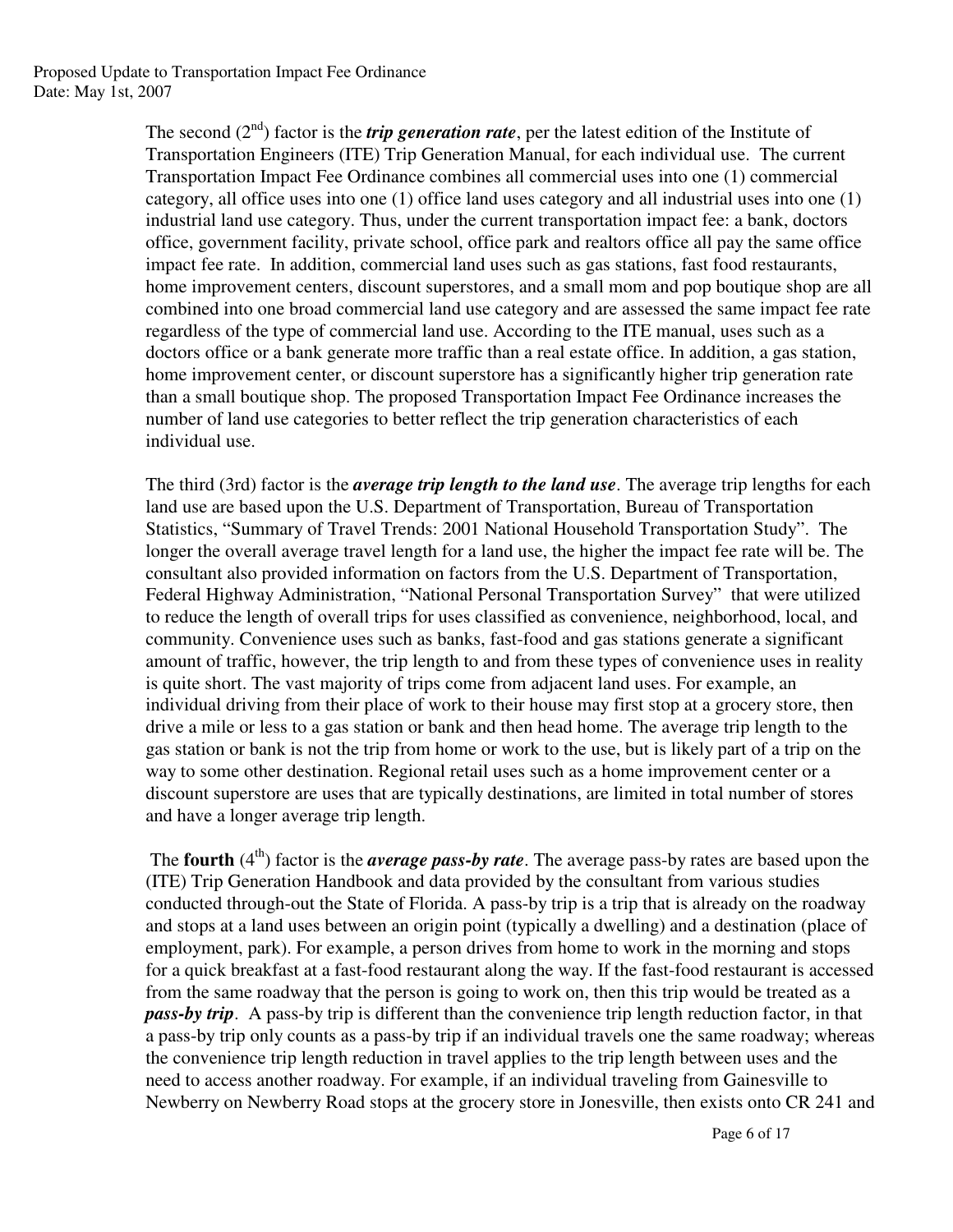The second (2<sup>nd</sup>) factor is the *trip generation rate*, per the latest edition of the Institute of Transportation Engineers (ITE) Trip Generation Manual, for each individual use. The current Transportation Impact Fee Ordinance combines all commercial uses into one (1) commercial category, all office uses into one (1) office land uses category and all industrial uses into one (1) industrial land use category. Thus, under the current transportation impact fee: a bank, doctors office, government facility, private school, office park and realtors office all pay the same office impact fee rate. In addition, commercial land uses such as gas stations, fast food restaurants, home improvement centers, discount superstores, and a small mom and pop boutique shop are all combined into one broad commercial land use category and are assessed the same impact fee rate regardless of the type of commercial land use. According to the ITE manual, uses such as a doctors office or a bank generate more traffic than a real estate office. In addition, a gas station, home improvement center, or discount superstore has a significantly higher trip generation rate than a small boutique shop. The proposed Transportation Impact Fee Ordinance increases the number of land use categories to better reflect the trip generation characteristics of each individual use.

The third (3rd) factor is the *average trip length to the land use*. The average trip lengths for each land use are based upon the U.S. Department of Transportation, Bureau of Transportation Statistics, "Summary of Travel Trends: 2001 National Household Transportation Study". The longer the overall average travel length for a land use, the higher the impact fee rate will be. The consultant also provided information on factors from the U.S. Department of Transportation, Federal Highway Administration, "National Personal Transportation Survey" that were utilized to reduce the length of overall trips for uses classified as convenience, neighborhood, local, and community. Convenience uses such as banks, fast-food and gas stations generate a significant amount of traffic, however, the trip length to and from these types of convenience uses in reality is quite short. The vast majority of trips come from adjacent land uses. For example, an individual driving from their place of work to their house may first stop at a grocery store, then drive a mile or less to a gas station or bank and then head home. The average trip length to the gas station or bank is not the trip from home or work to the use, but is likely part of a trip on the way to some other destination. Regional retail uses such as a home improvement center or a discount superstore are uses that are typically destinations, are limited in total number of stores and have a longer average trip length.

The **fourth** (4<sup>th</sup>) factor is the *average pass-by rate*. The average pass-by rates are based upon the (ITE) Trip Generation Handbook and data provided by the consultant from various studies conducted through-out the State of Florida. A pass-by trip is a trip that is already on the roadway and stops at a land uses between an origin point (typically a dwelling) and a destination (place of employment, park). For example, a person drives from home to work in the morning and stops for a quick breakfast at a fast-food restaurant along the way. If the fast-food restaurant is accessed from the same roadway that the person is going to work on, then this trip would be treated as a *pass-by trip*. A pass-by trip is different than the convenience trip length reduction factor, in that a pass-by trip only counts as a pass-by trip if an individual travels one the same roadway; whereas the convenience trip length reduction in travel applies to the trip length between uses and the need to access another roadway. For example, if an individual traveling from Gainesville to Newberry on Newberry Road stops at the grocery store in Jonesville, then exists onto CR 241 and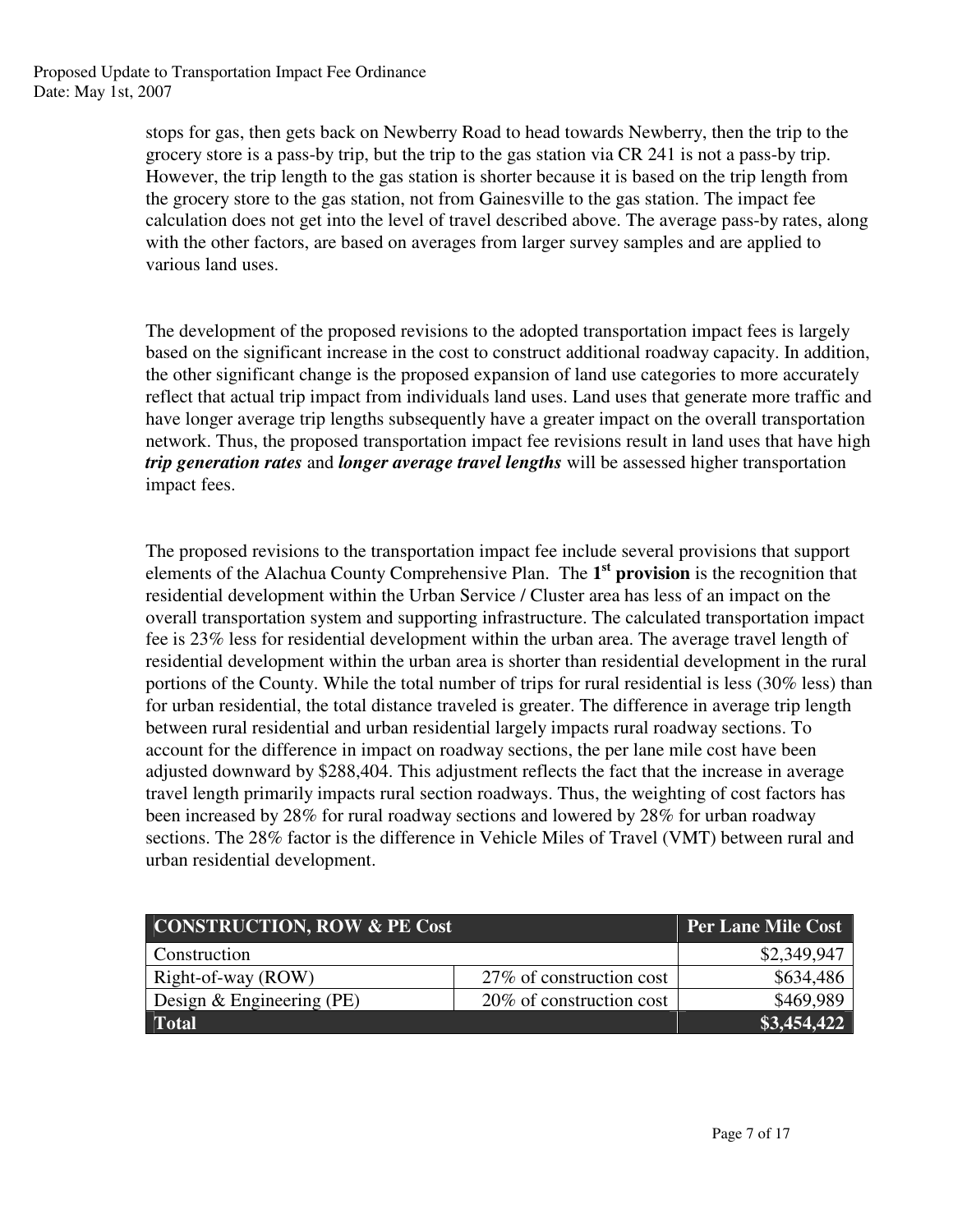stops for gas, then gets back on Newberry Road to head towards Newberry, then the trip to the grocery store is a pass-by trip, but the trip to the gas station via CR 241 is not a pass-by trip. However, the trip length to the gas station is shorter because it is based on the trip length from the grocery store to the gas station, not from Gainesville to the gas station. The impact fee calculation does not get into the level of travel described above. The average pass-by rates, along with the other factors, are based on averages from larger survey samples and are applied to various land uses.

The development of the proposed revisions to the adopted transportation impact fees is largely based on the significant increase in the cost to construct additional roadway capacity. In addition, the other significant change is the proposed expansion of land use categories to more accurately reflect that actual trip impact from individuals land uses. Land uses that generate more traffic and have longer average trip lengths subsequently have a greater impact on the overall transportation network. Thus, the proposed transportation impact fee revisions result in land uses that have high *trip generation rates* and *longer average travel lengths* will be assessed higher transportation impact fees.

The proposed revisions to the transportation impact fee include several provisions that support elements of the Alachua County Comprehensive Plan. The **1 st provision** is the recognition that residential development within the Urban Service / Cluster area has less of an impact on the overall transportation system and supporting infrastructure. The calculated transportation impact fee is 23% less for residential development within the urban area. The average travel length of residential development within the urban area is shorter than residential development in the rural portions of the County. While the total number of trips for rural residential is less (30% less) than for urban residential, the total distance traveled is greater. The difference in average trip length between rural residential and urban residential largely impacts rural roadway sections. To account for the difference in impact on roadway sections, the per lane mile cost have been adjusted downward by \$288,404. This adjustment reflects the fact that the increase in average travel length primarily impacts rural section roadways. Thus, the weighting of cost factors has been increased by 28% for rural roadway sections and lowered by 28% for urban roadway sections. The 28% factor is the difference in Vehicle Miles of Travel (VMT) between rural and urban residential development.

| <b>CONSTRUCTION, ROW &amp; PE Cost</b> |                           | <b>Per Lane Mile Cost</b> |
|----------------------------------------|---------------------------|---------------------------|
| Construction                           |                           | \$2,349,947               |
| Right-of-way (ROW)                     | 27\% of construction cost | \$634,486                 |
| Design $&$ Engineering (PE)            | 20% of construction cost  | \$469,989                 |
| <b>Total</b>                           |                           | \$3,454,422               |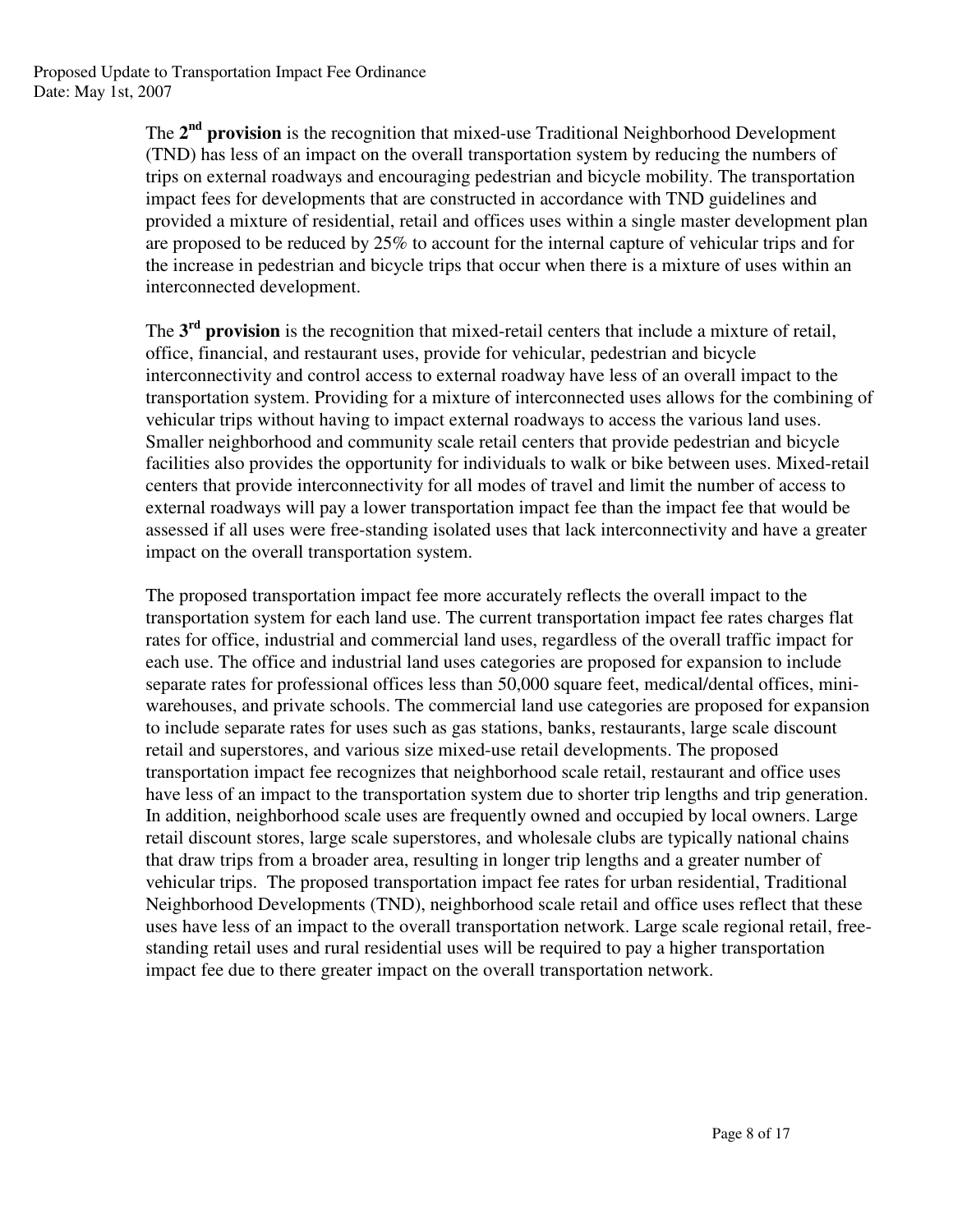The 2<sup>nd</sup> provision is the recognition that mixed-use Traditional Neighborhood Development (TND) has less of an impact on the overall transportation system by reducing the numbers of trips on external roadways and encouraging pedestrian and bicycle mobility. The transportation impact fees for developments that are constructed in accordance with TND guidelines and provided a mixture of residential, retail and offices uses within a single master development plan are proposed to be reduced by 25% to account for the internal capture of vehicular trips and for the increase in pedestrian and bicycle trips that occur when there is a mixture of uses within an interconnected development.

The **3 rd provision** is the recognition that mixed-retail centers that include a mixture of retail, office, financial, and restaurant uses, provide for vehicular, pedestrian and bicycle interconnectivity and control access to external roadway have less of an overall impact to the transportation system. Providing for a mixture of interconnected uses allows for the combining of vehicular trips without having to impact external roadways to access the various land uses. Smaller neighborhood and community scale retail centers that provide pedestrian and bicycle facilities also provides the opportunity for individuals to walk or bike between uses. Mixed-retail centers that provide interconnectivity for all modes of travel and limit the number of access to external roadways will pay a lower transportation impact fee than the impact fee that would be assessed if all uses were free-standing isolated uses that lack interconnectivity and have a greater impact on the overall transportation system.

The proposed transportation impact fee more accurately reflects the overall impact to the transportation system for each land use. The current transportation impact fee rates charges flat rates for office, industrial and commercial land uses, regardless of the overall traffic impact for each use. The office and industrial land uses categories are proposed for expansion to include separate rates for professional offices less than 50,000 square feet, medical/dental offices, miniwarehouses, and private schools. The commercial land use categories are proposed for expansion to include separate rates for uses such as gas stations, banks, restaurants, large scale discount retail and superstores, and various size mixed-use retail developments. The proposed transportation impact fee recognizes that neighborhood scale retail, restaurant and office uses have less of an impact to the transportation system due to shorter trip lengths and trip generation. In addition, neighborhood scale uses are frequently owned and occupied by local owners. Large retail discount stores, large scale superstores, and wholesale clubs are typically national chains that draw trips from a broader area, resulting in longer trip lengths and a greater number of vehicular trips. The proposed transportation impact fee rates for urban residential, Traditional Neighborhood Developments (TND), neighborhood scale retail and office uses reflect that these uses have less of an impact to the overall transportation network. Large scale regional retail, freestanding retail uses and rural residential uses will be required to pay a higher transportation impact fee due to there greater impact on the overall transportation network.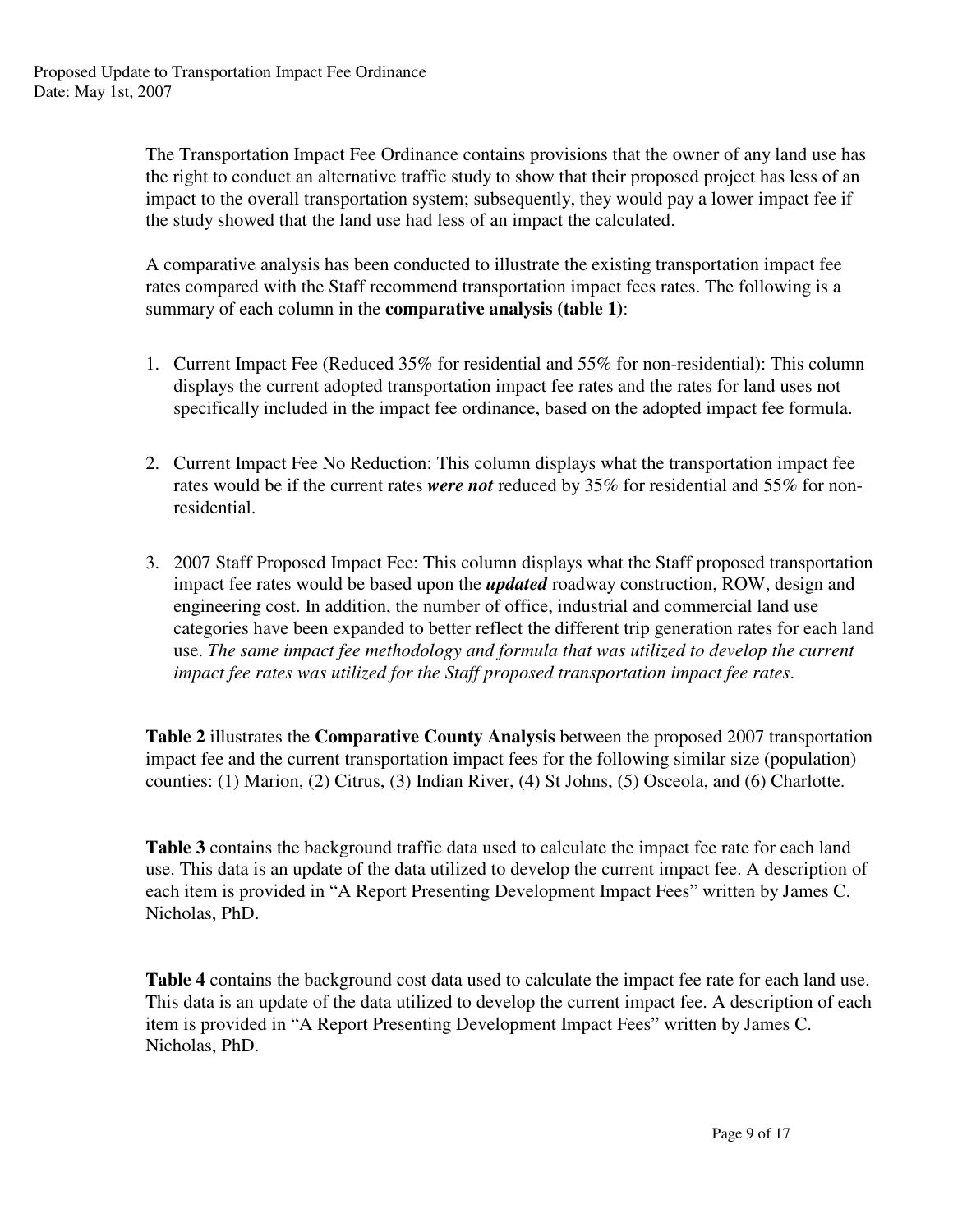The Transportation Impact Fee Ordinance contains provisions that the owner of any land use has the right to conduct an alternative traffic study to show that their proposed project has less of an impact to the overall transportation system; subsequently, they would pay a lower impact fee if the study showed that the land use had less of an impact the calculated.

A comparative analysis has been conducted to illustrate the existing transportation impact fee rates compared with the Staff recommend transportation impact fees rates. The following is a summary of each column in the **comparative analysis (table 1)**:

- 1. Current Impact Fee (Reduced 35% for residential and 55% for non-residential): This column displays the current adopted transportation impact fee rates and the rates for land uses not specifically included in the impact fee ordinance, based on the adopted impact fee formula.
- 2. Current Impact Fee No Reduction: This column displays what the transportation impact fee rates would be if the current rates *were not* reduced by 35% for residential and 55% for nonresidential.
- 3. 2007 Staff Proposed Impact Fee: This column displays what the Staff proposed transportation impact fee rates would be based upon the *updated* roadway construction, ROW, design and engineering cost. In addition, the number of office, industrial and commercial land use categories have been expanded to better reflect the different trip generation rates for each land use. *The same impact fee methodology and formula that was utilized to develop the current impact fee rates was utilized for the Staff proposed transportation impact fee rates*.

**Table 2** illustrates the **Comparative County Analysis** between the proposed 2007 transportation impact fee and the current transportation impact fees for the following similar size (population) counties: (1) Marion, (2) Citrus, (3) Indian River, (4) St Johns, (5) Osceola, and (6) Charlotte.

**Table 3** contains the background traffic data used to calculate the impact fee rate for each land use. This data is an update of the data utilized to develop the current impact fee. A description of each item is provided in "A Report Presenting Development Impact Fees" written by James C. Nicholas, PhD.

**Table 4** contains the background cost data used to calculate the impact fee rate for each land use. This data is an update of the data utilized to develop the current impact fee. A description of each item is provided in "A Report Presenting Development Impact Fees" written by James C. Nicholas, PhD.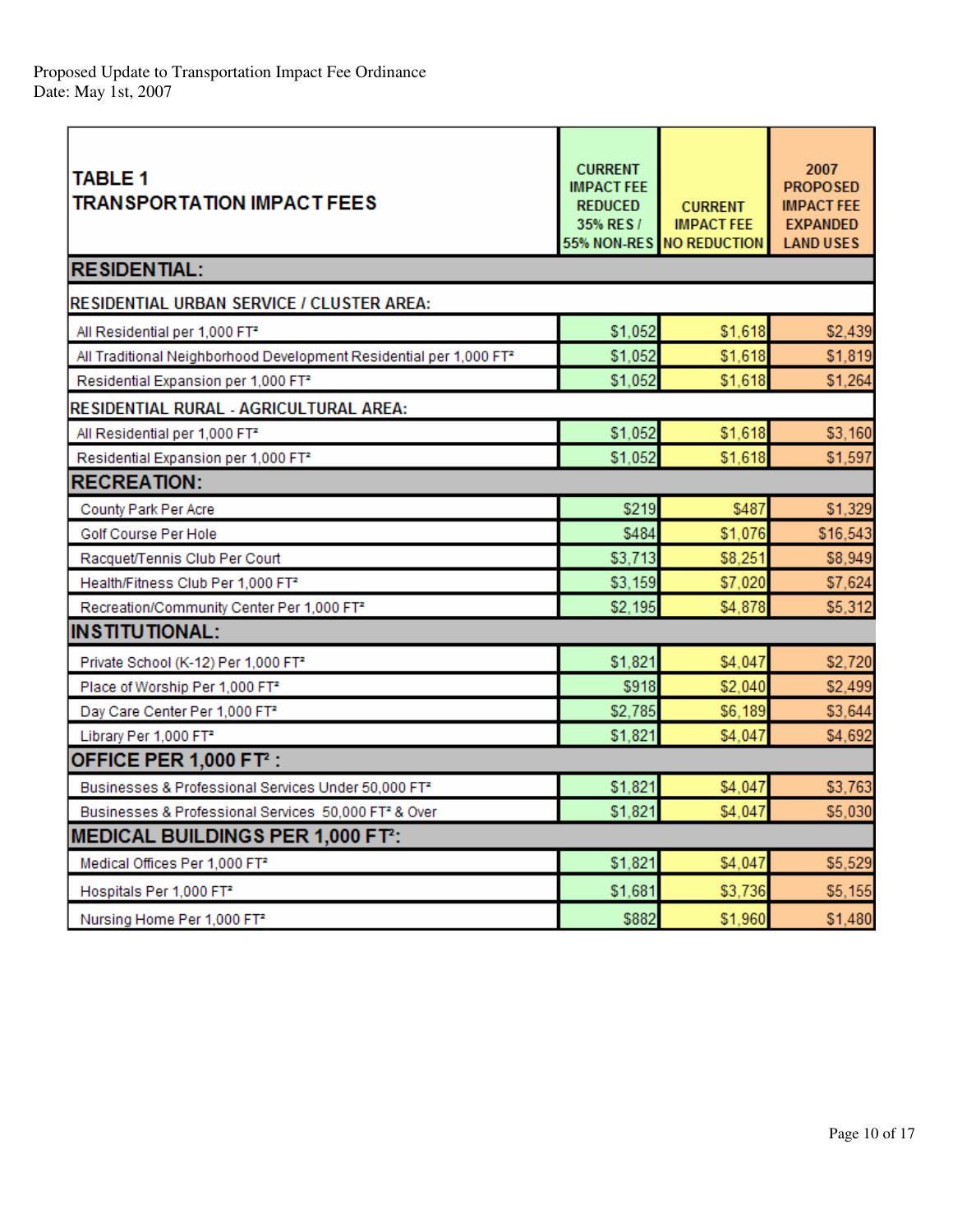| <b>TABLE 1</b><br><b>TRANSPORTATION IMPACT FEES</b>                            | <b>CURRENT</b><br><b>IMPACT FEE</b><br><b>REDUCED</b><br>35% RES /<br>55% NON-RES | <b>CURRENT</b><br><b>IMPACT FEE</b><br><b>NO REDUCTION</b> | 2007<br><b>PROPOSED</b><br><b>IMPACT FEE</b><br><b>EXPANDED</b><br><b>LAND USES</b> |
|--------------------------------------------------------------------------------|-----------------------------------------------------------------------------------|------------------------------------------------------------|-------------------------------------------------------------------------------------|
| <b>RESIDENTIAL:</b>                                                            |                                                                                   |                                                            |                                                                                     |
| RESIDENTIAL URBAN SERVICE / CLUSTER AREA:                                      |                                                                                   |                                                            |                                                                                     |
| All Residential per 1,000 FT <sup>2</sup>                                      | \$1,052                                                                           | \$1,618                                                    | \$2,439                                                                             |
| All Traditional Neighborhood Development Residential per 1,000 FT <sup>2</sup> | \$1,052                                                                           | \$1,618                                                    | \$1,819                                                                             |
| Residential Expansion per 1,000 FT <sup>2</sup>                                | \$1,052                                                                           | \$1,618                                                    | \$1,264                                                                             |
| RESIDENTIAL RURAL - AGRICULTURAL AREA:                                         |                                                                                   |                                                            |                                                                                     |
| All Residential per 1,000 FT <sup>2</sup>                                      | \$1,052                                                                           | \$1,618                                                    | \$3,160                                                                             |
| Residential Expansion per 1,000 FT <sup>2</sup>                                | \$1,052                                                                           | \$1,618                                                    | \$1,597                                                                             |
| <b>RECREATION:</b>                                                             |                                                                                   |                                                            |                                                                                     |
| County Park Per Acre                                                           | \$219                                                                             | \$487                                                      | \$1,329                                                                             |
| Golf Course Per Hole                                                           | \$484                                                                             | \$1,076                                                    | \$16,543                                                                            |
| Racquet/Tennis Club Per Court                                                  | \$3,713                                                                           | \$8,251                                                    | \$8,949                                                                             |
| Health/Fitness Club Per 1,000 FT <sup>2</sup>                                  | \$3,159                                                                           | \$7,020                                                    | \$7,624                                                                             |
| Recreation/Community Center Per 1,000 FT <sup>2</sup>                          | \$2,195                                                                           | \$4,878                                                    | \$5,312                                                                             |
| <b>INSTITUTIONAL:</b>                                                          |                                                                                   |                                                            |                                                                                     |
| Private School (K-12) Per 1,000 FT <sup>2</sup>                                | \$1,821                                                                           | \$4,047                                                    | \$2,720                                                                             |
| Place of Worship Per 1,000 FT <sup>2</sup>                                     | \$918                                                                             | \$2,040                                                    | \$2,499                                                                             |
| Day Care Center Per 1,000 FT <sup>2</sup>                                      | \$2,785                                                                           | \$6,189                                                    | \$3,644                                                                             |
| Library Per 1,000 FT <sup>2</sup>                                              | \$1,821                                                                           | \$4,047                                                    | \$4,692                                                                             |
| <b>OFFICE PER 1,000 FT2 :</b>                                                  |                                                                                   |                                                            |                                                                                     |
| Businesses & Professional Services Under 50,000 FT <sup>2</sup>                | \$1,821                                                                           | \$4,047                                                    | \$3,763                                                                             |
| Businesses & Professional Services 50,000 FT <sup>2</sup> & Over               | \$1,821                                                                           | \$4,047                                                    | \$5,030                                                                             |
| <b>MEDICAL BUILDINGS PER 1,000 FT2:</b>                                        |                                                                                   |                                                            |                                                                                     |
| Medical Offices Per 1,000 FT <sup>2</sup>                                      | \$1,821                                                                           | \$4,047                                                    | \$5,529                                                                             |
| Hospitals Per 1,000 FT <sup>2</sup>                                            | \$1,681                                                                           | \$3,736                                                    | \$5,155                                                                             |
| Nursing Home Per 1,000 FT <sup>2</sup>                                         | \$882                                                                             | \$1,960                                                    | \$1,480                                                                             |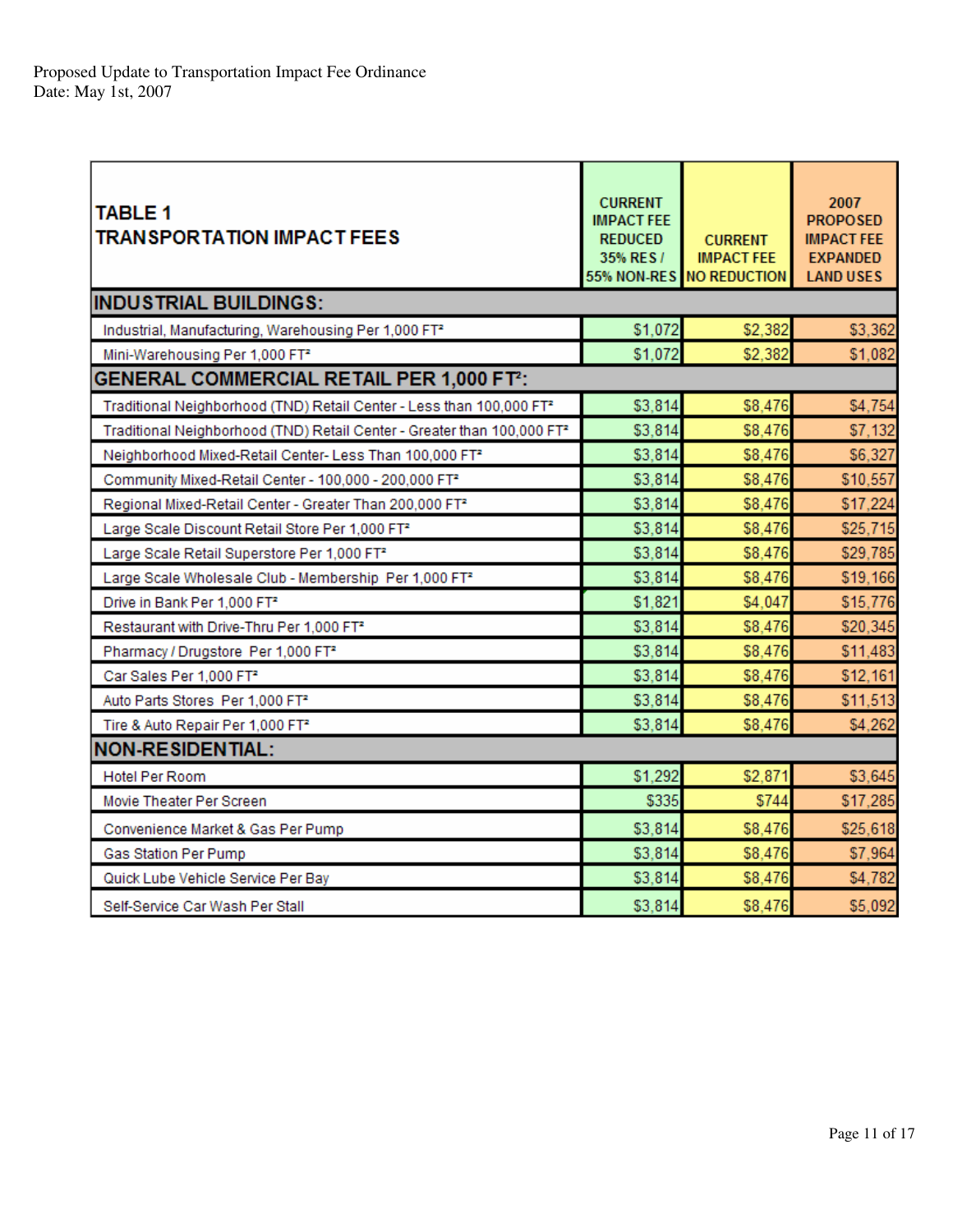| <b>TABLE 1</b><br><b>TRANSPORTATION IMPACT FEES</b>                                 | <b>CURRENT</b><br><b>IMPACT FEE</b><br><b>REDUCED</b><br>35% RES / | <b>CURRENT</b><br><b>IMPACT FEE</b><br>55% NON-RES NO REDUCTION | 2007<br><b>PROPOSED</b><br><b>IMPACT FEE</b><br><b>EXPANDED</b><br><b>LAND USES</b> |
|-------------------------------------------------------------------------------------|--------------------------------------------------------------------|-----------------------------------------------------------------|-------------------------------------------------------------------------------------|
| <b>INDUSTRIAL BUILDINGS:</b>                                                        |                                                                    |                                                                 |                                                                                     |
| Industrial, Manufacturing, Warehousing Per 1,000 FT <sup>2</sup>                    | \$1,072                                                            | \$2,382                                                         | \$3,362                                                                             |
| Mini-Warehousing Per 1,000 FT <sup>2</sup>                                          | \$1,072                                                            | \$2,382                                                         | \$1,082                                                                             |
| <b>GENERAL COMMERCIAL RETAIL PER 1,000 FT2:</b>                                     |                                                                    |                                                                 |                                                                                     |
| Traditional Neighborhood (TND) Retail Center - Less than 100,000 FT <sup>2</sup>    | \$3,814                                                            | \$8,476                                                         | \$4,754                                                                             |
| Traditional Neighborhood (TND) Retail Center - Greater than 100,000 FT <sup>2</sup> | \$3,814                                                            | \$8,476                                                         | \$7,132                                                                             |
| Neighborhood Mixed-Retail Center- Less Than 100,000 FT2                             | \$3,814                                                            | \$8,476                                                         | \$6,327                                                                             |
| Community Mixed-Retail Center - 100,000 - 200,000 FT <sup>2</sup>                   | \$3,814                                                            | \$8,476                                                         | \$10,557                                                                            |
| Regional Mixed-Retail Center - Greater Than 200,000 FT <sup>2</sup>                 | \$3,814                                                            | \$8,476                                                         | \$17,224                                                                            |
| Large Scale Discount Retail Store Per 1,000 FT <sup>2</sup>                         | \$3,814                                                            | \$8,476                                                         | \$25.715                                                                            |
| Large Scale Retail Superstore Per 1,000 FT <sup>2</sup>                             | \$3.814                                                            | \$8,476                                                         | \$29,785                                                                            |
| Large Scale Wholesale Club - Membership Per 1,000 FT <sup>2</sup>                   | \$3,814                                                            | \$8,476                                                         | \$19,166                                                                            |
| Drive in Bank Per 1,000 FT2                                                         | \$1,821                                                            | \$4,047                                                         | \$15,776                                                                            |
| Restaurant with Drive-Thru Per 1,000 FT <sup>2</sup>                                | \$3,814                                                            | \$8,476                                                         | \$20,345                                                                            |
| Pharmacy / Drugstore Per 1,000 FT <sup>2</sup>                                      | \$3,814                                                            | \$8,476                                                         | \$11,483                                                                            |
| Car Sales Per 1,000 FT <sup>2</sup>                                                 | \$3,814                                                            | \$8,476                                                         | \$12,161                                                                            |
| Auto Parts Stores Per 1,000 FT <sup>2</sup>                                         | \$3,814                                                            | \$8,476                                                         | \$11,513                                                                            |
| Tire & Auto Repair Per 1,000 FT <sup>2</sup>                                        | \$3,814                                                            | \$8,476                                                         | \$4,262                                                                             |
| <b>NON-RESIDENTIAL:</b>                                                             |                                                                    |                                                                 |                                                                                     |
| <b>Hotel Per Room</b>                                                               | \$1,292                                                            | \$2,871                                                         | \$3,645                                                                             |
| Movie Theater Per Screen                                                            | \$335                                                              | \$744                                                           | \$17,285                                                                            |
| Convenience Market & Gas Per Pump                                                   | \$3,814                                                            | \$8,476                                                         | \$25,618                                                                            |
| Gas Station Per Pump                                                                | \$3,814                                                            | \$8,476                                                         | \$7,964                                                                             |
| Quick Lube Vehicle Service Per Bay                                                  | \$3,814                                                            | \$8,476                                                         | \$4,782                                                                             |
| Self-Service Car Wash Per Stall                                                     | \$3,814                                                            | \$8,476                                                         | \$5,092                                                                             |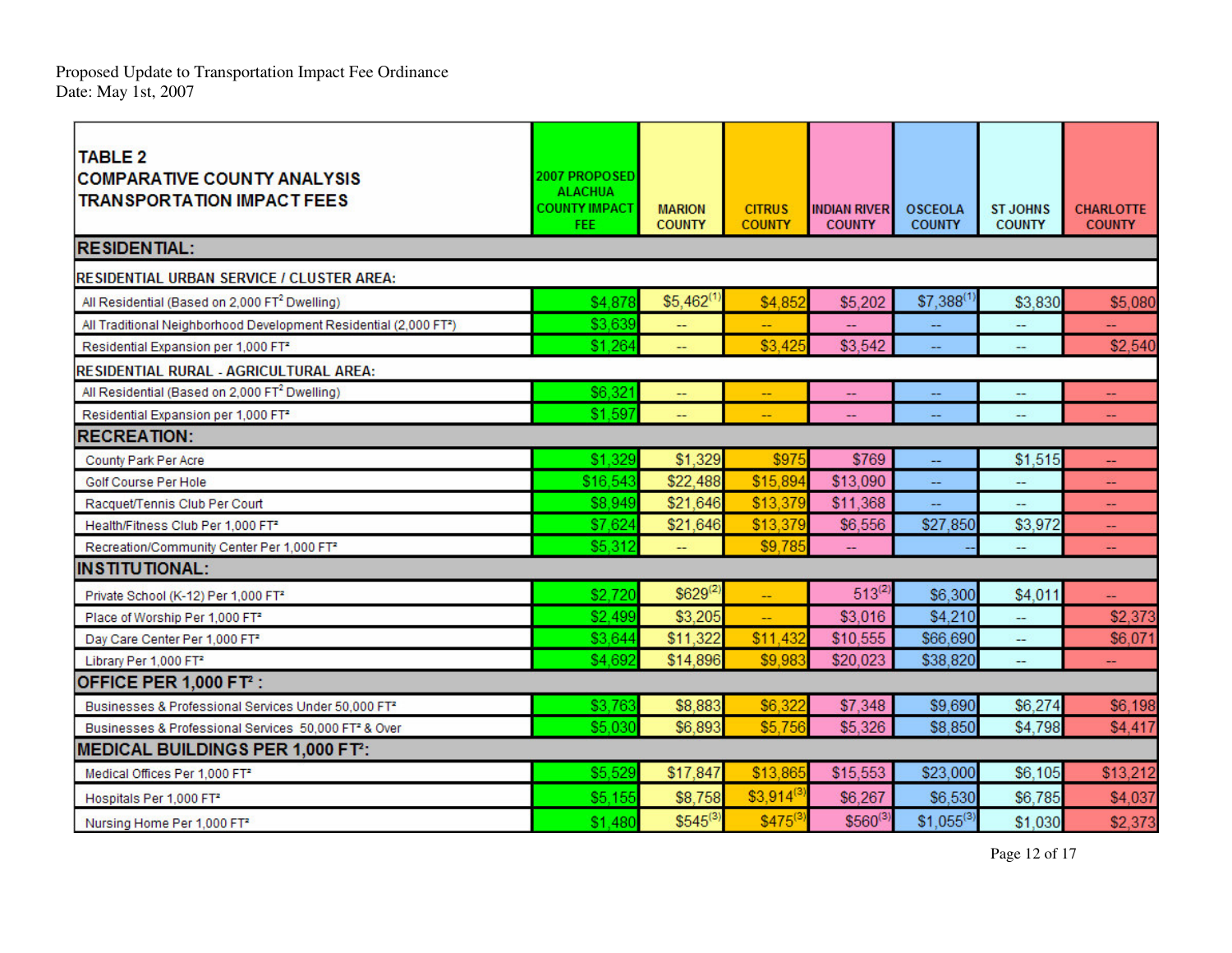Pro p osed U p date to Transp ortatio n Impact Fee Ordinance Date: May 1st, 2 0 0 7

| <b>TABLE 2</b><br><b>COMPARATIVE COUNTY ANALYSIS</b><br><b>TRANSPORTATION IMPACT FEES</b> | 2007 PROPOSED<br><b>ALACHUA</b><br><b>COUNTY IMPACT</b><br>FEE: | <b>MARION</b><br><b>COUNTY</b> | <b>CITRUS</b><br><b>COUNTY</b> | <b>INDIAN RIVER</b><br><b>COUNTY</b> | <b>OSCEOLA</b><br><b>COUNTY</b> | <b>ST JOHNS</b><br><b>COUNTY</b> | <b>CHARLOTTE</b><br><b>COUNTY</b> |
|-------------------------------------------------------------------------------------------|-----------------------------------------------------------------|--------------------------------|--------------------------------|--------------------------------------|---------------------------------|----------------------------------|-----------------------------------|
| <b>RESIDENTIAL:</b>                                                                       |                                                                 |                                |                                |                                      |                                 |                                  |                                   |
| RESIDENTIAL URBAN SERVICE / CLUSTER AREA:                                                 |                                                                 |                                |                                |                                      |                                 |                                  |                                   |
| All Residential (Based on 2,000 FT <sup>2</sup> Dwelling)                                 | \$4,878                                                         | \$5,462                        | \$4,852                        | \$5,202                              | $$7,388$ <sup>(1</sup> )        | \$3,830                          | \$5,080                           |
| All Traditional Neighborhood Development Residential (2,000 FT <sup>2</sup> )             | \$3,639                                                         | -−                             |                                |                                      |                                 |                                  |                                   |
| Residential Expansion per 1,000 FT <sup>2</sup>                                           | \$1,264                                                         | --                             | \$3,425                        | \$3,542                              |                                 | $\overline{\phantom{a}}$         | \$2,540                           |
| RESIDENTIAL RURAL - AGRICULTURAL AREA:                                                    |                                                                 |                                |                                |                                      |                                 |                                  |                                   |
| All Residential (Based on 2,000 FT <sup>2</sup> Dwelling)                                 | \$6,321                                                         | <u>.,</u>                      | Ц,                             | $\overline{a}$                       | --                              | --                               | ÷÷.                               |
| Residential Expansion per 1,000 FT <sup>2</sup>                                           | \$1.597                                                         |                                |                                |                                      |                                 |                                  |                                   |
| <b>RECREATION:</b>                                                                        |                                                                 |                                |                                |                                      |                                 |                                  |                                   |
| County Park Per Acre                                                                      | \$1,329                                                         | \$1,329                        | \$975                          | \$769                                | <u></u>                         | \$1,515                          |                                   |
| Golf Course Per Hole                                                                      | \$16,543                                                        | \$22,488                       | \$15,894                       | \$13,090                             |                                 |                                  |                                   |
| Racquet/Tennis Club Per Court                                                             | \$8,949                                                         | \$21,646                       | \$13,379                       | \$11,368                             | --                              | --                               | $\overline{\phantom{a}}$          |
| Health/Fitness Club Per 1,000 FT <sup>2</sup>                                             | \$7,624                                                         | \$21,646                       | \$13,379                       | \$6,556                              | \$27,850                        | \$3,972                          |                                   |
| Recreation/Community Center Per 1,000 FT <sup>2</sup>                                     | \$5,312                                                         |                                | \$9,78                         |                                      |                                 |                                  |                                   |
| <b>INSTITUTIONAL:</b>                                                                     |                                                                 |                                |                                |                                      |                                 |                                  |                                   |
| Private School (K-12) Per 1,000 FT <sup>2</sup>                                           | \$2.720                                                         | $$629^{(2)}$                   | uu.                            | $513^{(2)}$                          | \$6,300                         | \$4,011                          |                                   |
| Place of Worship Per 1,000 FT <sup>2</sup>                                                | \$2,499                                                         | \$3,205                        | ш,                             | \$3,016                              | \$4,210                         | --                               | \$2,373                           |
| Day Care Center Per 1,000 FT <sup>2</sup>                                                 | \$3,644                                                         | \$11,322                       | \$11,43                        | \$10,555                             | \$66,690                        | --                               | \$6,071                           |
| Library Per 1,000 FT <sup>2</sup>                                                         | \$4,692                                                         | \$14,896                       | \$9,98                         | \$20,023                             | \$38,820                        |                                  |                                   |
| <b>OFFICE PER 1,000 FT2 :</b>                                                             |                                                                 |                                |                                |                                      |                                 |                                  |                                   |
| Businesses & Professional Services Under 50,000 FT <sup>2</sup>                           | \$3,763                                                         | \$8,883                        | \$6,32                         | \$7,348                              | \$9,690                         | \$6,274                          | \$6,198                           |
| Businesses & Professional Services 50,000 FT <sup>2</sup> & Over                          | \$5,030                                                         | \$6,893                        | \$5,756                        | \$5,326                              | \$8,850                         | \$4,798                          | \$4,417                           |
| MEDICAL BUILDINGS PER 1,000 FT <sup>2</sup> :                                             |                                                                 |                                |                                |                                      |                                 |                                  |                                   |
| Medical Offices Per 1,000 FT <sup>2</sup>                                                 | \$5,529                                                         | \$17,847                       | \$13,86                        | \$15,553                             | \$23,000                        | \$6,105                          | \$13,212                          |
| Hospitals Per 1,000 FT <sup>2</sup>                                                       | \$5,155                                                         | \$8,758                        | $$3,914$ <sup>(3</sup>         | \$6,267                              | \$6,530                         | \$6,785                          | \$4,037                           |
| Nursing Home Per 1,000 FT <sup>2</sup>                                                    | \$1,480                                                         | $$545^{(3)}$                   | \$4756                         | $$560^{(3)}$                         | $$1,055^{(3)}$                  | \$1,030                          | \$2,373                           |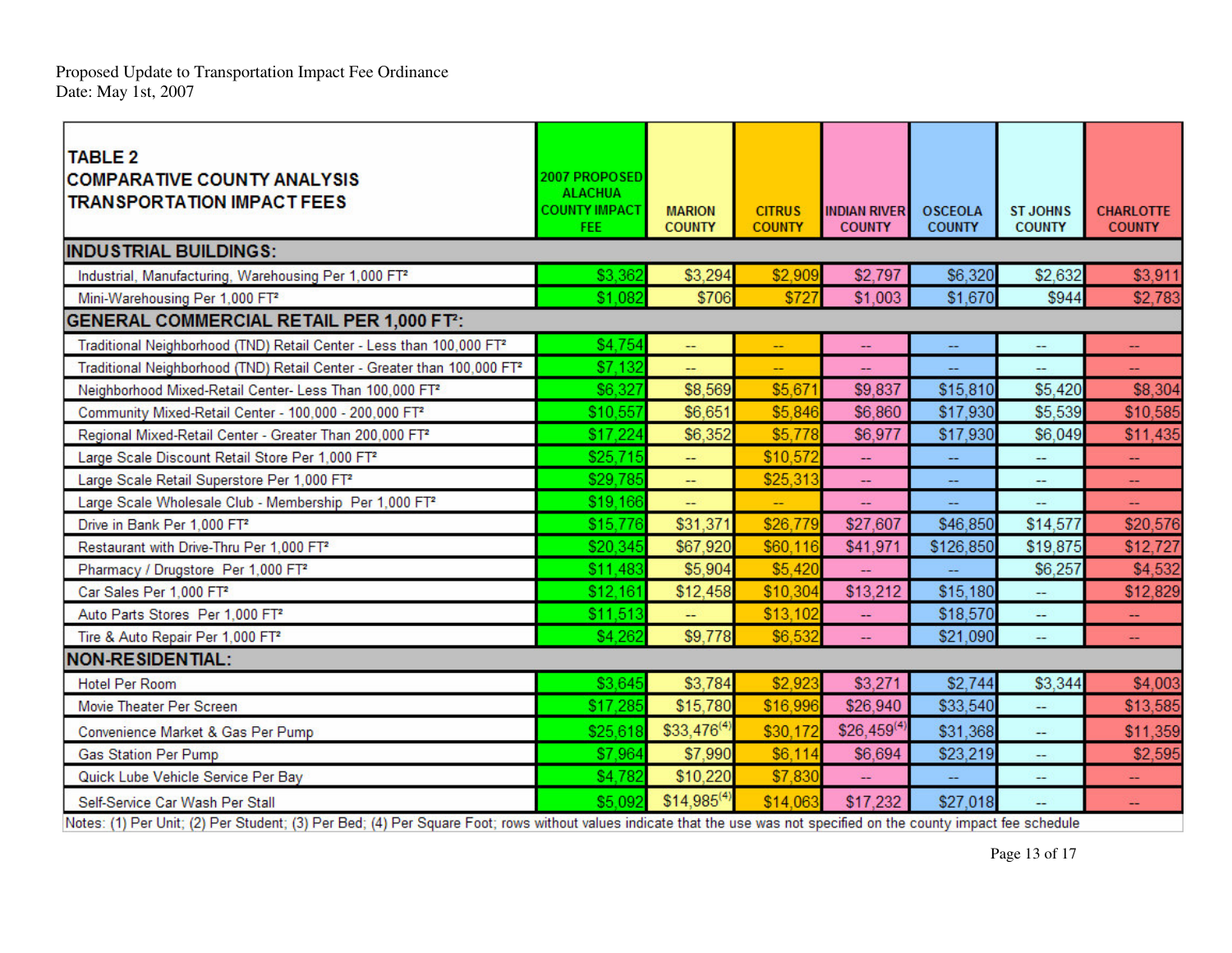Pro p osed U p date to Transp ortatio n Impact Fee Ordinance Date: May 1st, 2 0 0 7

| <b>TABLE 2</b><br><b>COMPARATIVE COUNTY ANALYSIS</b><br><b>TRANSPORTATION IMPACT FEES</b>                                                                             | 2007 PROPOSED<br><b>ALACHUA</b><br><b>COUNTY IMPACT</b><br><b>FEE</b> | <b>MARION</b><br><b>COUNTY</b> | <b>CITRUS</b><br><b>COUNTY</b> | <b>INDIAN RIVER</b><br><b>COUNTY</b> | <b>OSCEOLA</b><br><b>COUNTY</b> | <b>ST JOHNS</b><br><b>COUNTY</b> | <b>CHARLOTTE</b><br><b>COUNTY</b> |
|-----------------------------------------------------------------------------------------------------------------------------------------------------------------------|-----------------------------------------------------------------------|--------------------------------|--------------------------------|--------------------------------------|---------------------------------|----------------------------------|-----------------------------------|
| <b>INDUSTRIAL BUILDINGS:</b>                                                                                                                                          |                                                                       |                                |                                |                                      |                                 |                                  |                                   |
| Industrial, Manufacturing, Warehousing Per 1,000 FT <sup>2</sup>                                                                                                      | \$3,362                                                               | \$3,294                        | \$2,909                        | \$2,797                              | \$6,320                         | \$2,632                          | \$3,911                           |
| Mini-Warehousing Per 1,000 FT <sup>2</sup>                                                                                                                            | \$1.082                                                               | \$706                          | \$72                           | \$1,003                              | \$1,670                         | \$944                            | \$2,783                           |
| <b>GENERAL COMMERCIAL RETAIL PER 1,000 FT2:</b>                                                                                                                       |                                                                       |                                |                                |                                      |                                 |                                  |                                   |
| Traditional Neighborhood (TND) Retail Center - Less than 100,000 FT <sup>2</sup>                                                                                      | \$4,754                                                               | Щ,                             | ÷.                             | ÷                                    | ш,                              | ÷                                | z.                                |
| Traditional Neighborhood (TND) Retail Center - Greater than 100,000 FT <sup>2</sup>                                                                                   | \$7,132                                                               | ш,                             |                                |                                      |                                 | ш.                               |                                   |
| Neighborhood Mixed-Retail Center- Less Than 100,000 FT <sup>2</sup>                                                                                                   | \$6,327                                                               | \$8,569                        | \$5,671                        | \$9,837                              | \$15,810                        | \$5,420                          | \$8,304                           |
| Community Mixed-Retail Center - 100,000 - 200,000 FT <sup>2</sup>                                                                                                     | \$10,557                                                              | \$6,651                        | \$5,846                        | \$6,860                              | \$17,930                        | \$5,539                          | \$10,585                          |
| Regional Mixed-Retail Center - Greater Than 200,000 FT <sup>2</sup>                                                                                                   | \$17,224                                                              | \$6,352                        | \$5,778                        | \$6,977                              | \$17,930                        | \$6,049                          | \$11,435                          |
| Large Scale Discount Retail Store Per 1,000 FT <sup>2</sup>                                                                                                           | \$25,715                                                              | $-$                            | \$10,572                       | ÷                                    | --                              | ₩,                               | $-$                               |
| Large Scale Retail Superstore Per 1,000 FT <sup>2</sup>                                                                                                               | \$29,785                                                              | --                             | \$25,313                       | ÷                                    | ÷                               | ÷                                |                                   |
| Large Scale Wholesale Club - Membership Per 1,000 FT <sup>2</sup>                                                                                                     | \$19,166                                                              | --                             | --                             | --                                   | --                              | --                               | $-$                               |
| Drive in Bank Per 1,000 FT <sup>2</sup>                                                                                                                               | \$15,776                                                              | \$31,371                       | \$26,77                        | \$27,607                             | \$46,850                        | \$14,577                         | \$20,576                          |
| Restaurant with Drive-Thru Per 1,000 FT <sup>2</sup>                                                                                                                  | \$20,345                                                              | \$67,920                       | \$60,116                       | \$41,971                             | \$126,850                       | \$19,875                         | \$12,727                          |
| Pharmacy / Drugstore Per 1,000 FT <sup>2</sup>                                                                                                                        | \$11,483                                                              | \$5,904                        | \$5,420                        |                                      | Щ,                              | \$6,257                          | \$4,532                           |
| Car Sales Per 1,000 FT <sup>2</sup>                                                                                                                                   | \$12,161                                                              | \$12,458                       | \$10,304                       | \$13,212                             | \$15,180                        | ш,                               | \$12,829                          |
| Auto Parts Stores Per 1,000 FT <sup>2</sup>                                                                                                                           | \$11,513                                                              | --                             | \$13,102                       |                                      | \$18,570                        | --                               | --                                |
| Tire & Auto Repair Per 1,000 FT <sup>2</sup>                                                                                                                          | \$4,262                                                               | \$9,778                        | \$6,532                        | ÷.                                   | \$21,090                        | $\overline{\phantom{a}}$         | $-$                               |
| <b>NON-RESIDENTIAL:</b>                                                                                                                                               |                                                                       |                                |                                |                                      |                                 |                                  |                                   |
| <b>Hotel Per Room</b>                                                                                                                                                 | \$3,645                                                               | \$3,784                        | \$2,923                        | \$3,271                              | \$2,744                         | \$3,344                          | \$4,003                           |
| Movie Theater Per Screen                                                                                                                                              | \$17,285                                                              | \$15,780                       | \$16,996                       | \$26,940                             | \$33,540                        | a.                               | \$13,585                          |
| Convenience Market & Gas Per Pump                                                                                                                                     | \$25,618                                                              | $$33,476^{(4)}$                | \$30,172                       | $$26,459^{(4)}$                      | \$31,368                        | -                                | \$11,359                          |
| <b>Gas Station Per Pump</b>                                                                                                                                           | \$7,964                                                               | \$7,990                        | \$6,114                        | \$6,694                              | \$23,219                        | --                               | \$2,595                           |
| Quick Lube Vehicle Service Per Bay                                                                                                                                    | \$4,782                                                               | \$10,220                       | \$7,830                        |                                      | <u></u>                         | ÷                                |                                   |
| Self-Service Car Wash Per Stall                                                                                                                                       | \$5.092                                                               | $$14,985^{(4)}$                | \$14.06                        | \$17,232                             | \$27,018                        |                                  |                                   |
| Notes: (1) Per Unit; (2) Per Student; (3) Per Bed; (4) Per Square Foot; rows without values indicate that the use was not specified on the county impact fee schedule |                                                                       |                                |                                |                                      |                                 |                                  |                                   |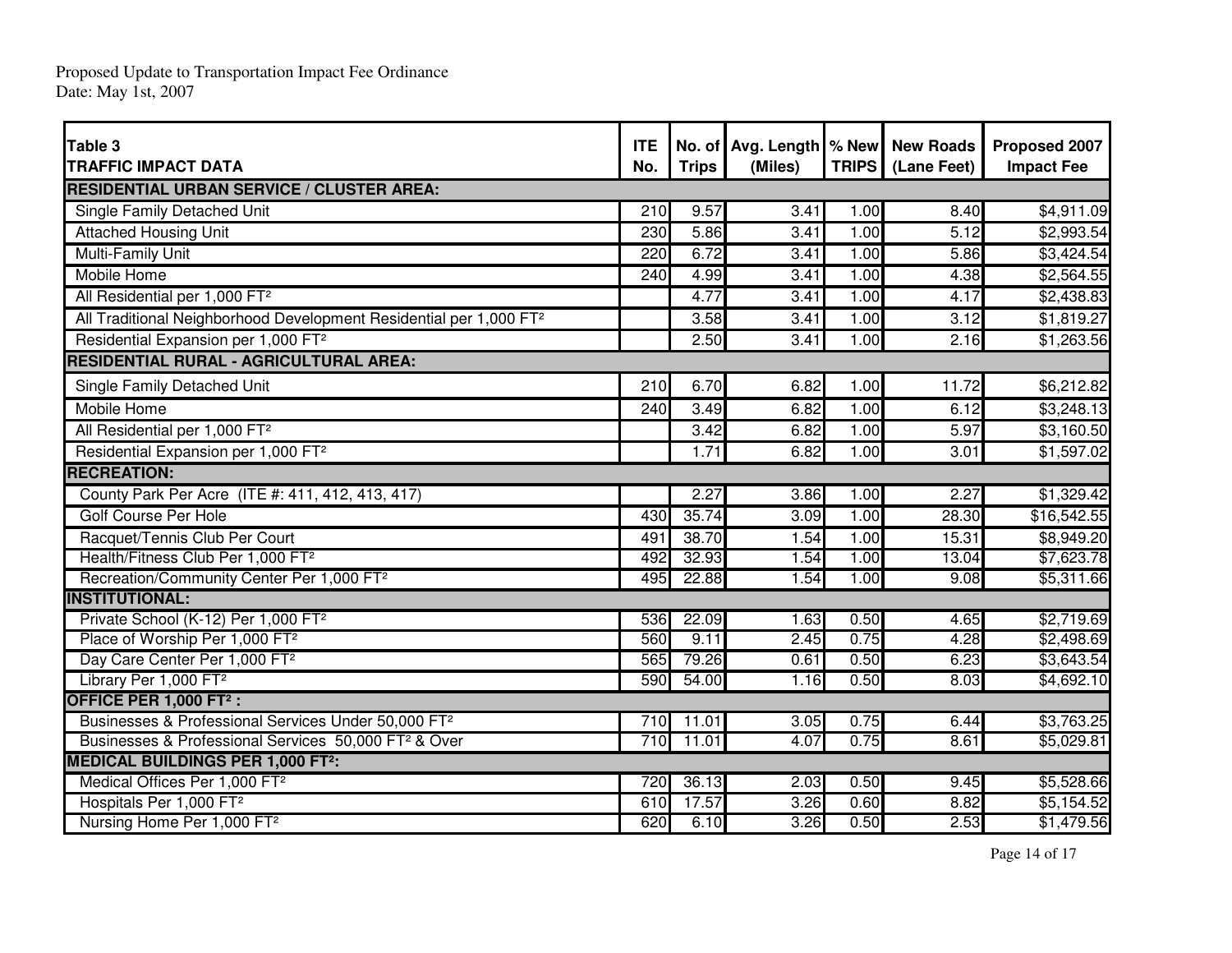Proposed Update to Transportation Impact Fee Ordinance Date: May 1st, 2007

| Table 3<br><b>TRAFFIC IMPACT DATA</b>                                          | <b>ITE</b><br>No. | <b>Trips</b> | No. of Avg. Length   % New   New Roads<br>(Miles) |      | TRIPS (Lane Feet) | Proposed 2007<br><b>Impact Fee</b> |
|--------------------------------------------------------------------------------|-------------------|--------------|---------------------------------------------------|------|-------------------|------------------------------------|
| <b>RESIDENTIAL URBAN SERVICE / CLUSTER AREA:</b>                               |                   |              |                                                   |      |                   |                                    |
| Single Family Detached Unit                                                    | 210               | 9.57         | 3.41                                              | 1.00 | 8.40              | \$4,911.09                         |
| <b>Attached Housing Unit</b>                                                   | 230               | 5.86         | 3.41                                              | 1.00 | 5.12              | \$2,993.54                         |
| <b>Multi-Family Unit</b>                                                       | 220               | 6.72         | 3.41                                              | 1.00 | 5.86              | \$3,424.54                         |
| <b>Mobile Home</b>                                                             | 240               | 4.99         | 3.41                                              | 1.00 | 4.38              | \$2,564.55                         |
| All Residential per 1,000 FT <sup>2</sup>                                      |                   | 4.77         | 3.41                                              | 1.00 | 4.17              | \$2,438.83                         |
| All Traditional Neighborhood Development Residential per 1,000 FT <sup>2</sup> |                   | 3.58         | 3.41                                              | 1.00 | 3.12              | \$1,819.27                         |
| Residential Expansion per 1,000 FT <sup>2</sup>                                |                   | 2.50         | 3.41                                              | 1.00 | 2.16              | \$1,263.56                         |
| <b>RESIDENTIAL RURAL - AGRICULTURAL AREA:</b>                                  |                   |              |                                                   |      |                   |                                    |
| Single Family Detached Unit                                                    | 210               | 6.70         | 6.82                                              | 1.00 | 11.72             | \$6,212.82                         |
| <b>Mobile Home</b>                                                             | 240               | 3.49         | 6.82                                              | 1.00 | 6.12              | \$3,248.13                         |
| All Residential per 1,000 FT <sup>2</sup>                                      |                   | 3.42         | 6.82                                              | 1.00 | 5.97              | \$3,160.50                         |
| Residential Expansion per 1,000 FT <sup>2</sup>                                |                   | 1.71         | 6.82                                              | 1.00 | 3.01              | \$1,597.02                         |
| <b>RECREATION:</b>                                                             |                   |              |                                                   |      |                   |                                    |
| County Park Per Acre (ITE #: 411, 412, 413, 417)                               |                   | 2.27         | 3.86                                              | 1.00 | 2.27              | \$1,329.42                         |
| <b>Golf Course Per Hole</b>                                                    | 430               | 35.74        | 3.09                                              | 1.00 | 28.30             | \$16,542.55                        |
| Racquet/Tennis Club Per Court                                                  | 491               | 38.70        | 1.54                                              | 1.00 | 15.31             | \$8,949.20                         |
| Health/Fitness Club Per 1,000 FT <sup>2</sup>                                  | 492               | 32.93        | 1.54                                              | 1.00 | 13.04             | \$7,623.78                         |
| Recreation/Community Center Per 1,000 FT <sup>2</sup>                          | 495               | 22.88        | 1.54                                              | 1.00 | 9.08              | \$5,311.66                         |
| <b>INSTITUTIONAL:</b>                                                          |                   |              |                                                   |      |                   |                                    |
| Private School (K-12) Per 1,000 FT <sup>2</sup>                                | 536               | 22.09        | 1.63                                              | 0.50 | 4.65              | \$2,719.69                         |
| Place of Worship Per 1,000 FT <sup>2</sup>                                     | 560               | 9.11         | 2.45                                              | 0.75 | 4.28              | \$2,498.69                         |
| Day Care Center Per 1,000 FT <sup>2</sup>                                      | 565               | 79.26        | 0.61                                              | 0.50 | 6.23              | \$3,643.54                         |
| Library Per 1,000 FT <sup>2</sup>                                              | 590               | 54.00        | 1.16                                              | 0.50 | 8.03              | \$4,692.10                         |
| OFFICE PER 1,000 FT <sup>2</sup> :                                             |                   |              |                                                   |      |                   |                                    |
| Businesses & Professional Services Under 50,000 FT <sup>2</sup>                | 710               | 11.01        | 3.05                                              | 0.75 | 6.44              | \$3,763.25                         |
| Businesses & Professional Services 50,000 FT <sup>2</sup> & Over               | 710               | 11.01        | 4.07                                              | 0.75 | 8.61              | \$5,029.81                         |
| <b>MEDICAL BUILDINGS PER 1,000 FT2:</b>                                        |                   |              |                                                   |      |                   |                                    |
| Medical Offices Per 1,000 FT <sup>2</sup>                                      | 720               | 36.13        | 2.03                                              | 0.50 | 9.45              | \$5,528.66                         |
| Hospitals Per 1,000 FT <sup>2</sup>                                            | 610               | 17.57        | 3.26                                              | 0.60 | 8.82              | \$5,154.52                         |
| Nursing Home Per 1,000 FT <sup>2</sup>                                         | 620               | 6.10         | 3.26                                              | 0.50 | 2.53              | \$1,479.56                         |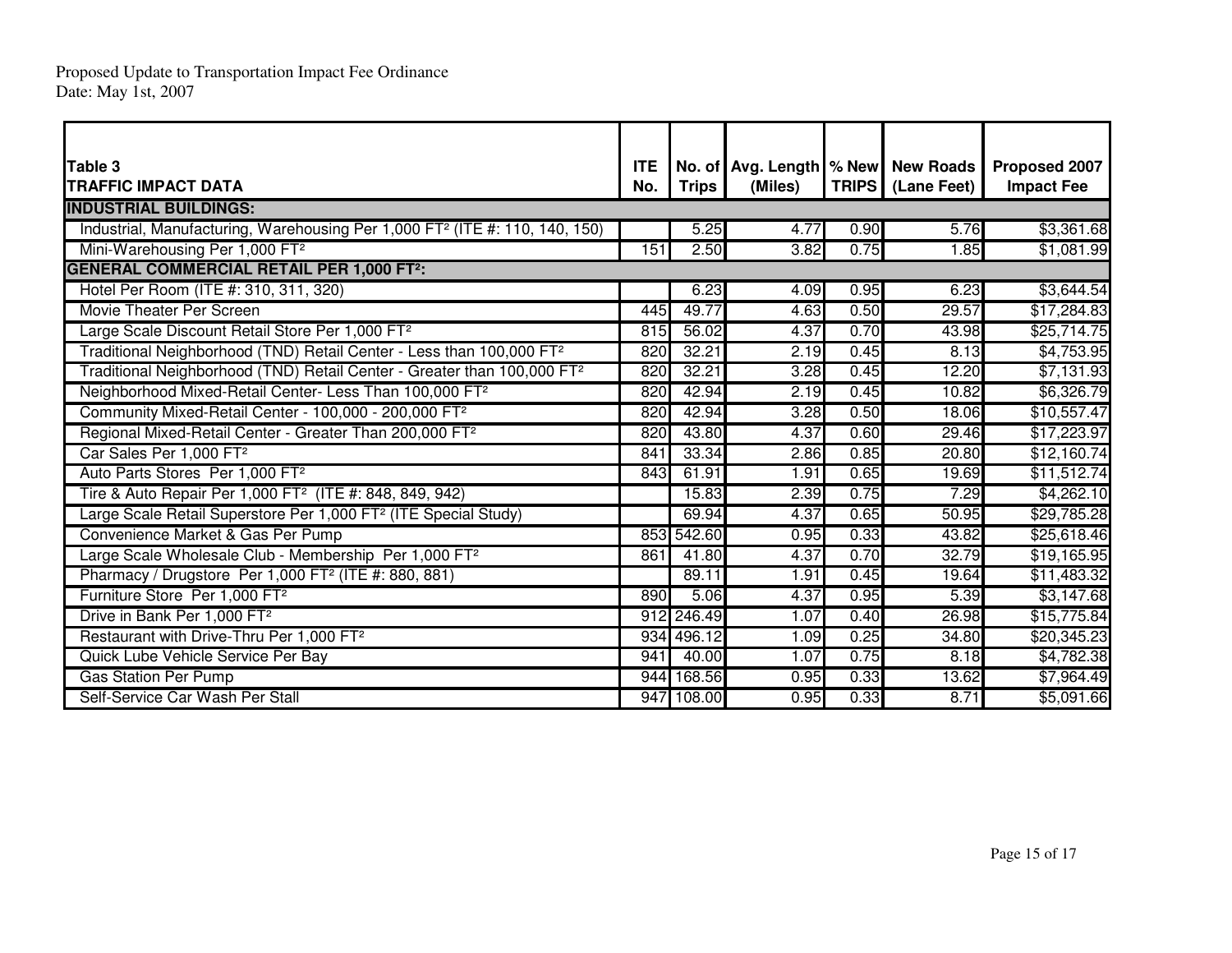| <b>Table 3</b>                                                                          | <b>ITE</b> |              |         | No. of Avg. Length   % New   New Roads |                     | Proposed 2007     |  |  |  |  |  |
|-----------------------------------------------------------------------------------------|------------|--------------|---------|----------------------------------------|---------------------|-------------------|--|--|--|--|--|
| <b>TRAFFIC IMPACT DATA</b>                                                              | No.        | <b>Trips</b> | (Miles) |                                        | TRIPS   (Lane Feet) | <b>Impact Fee</b> |  |  |  |  |  |
| <b>INDUSTRIAL BUILDINGS:</b>                                                            |            |              |         |                                        |                     |                   |  |  |  |  |  |
| Industrial, Manufacturing, Warehousing Per 1,000 FT <sup>2</sup> (ITE #: 110, 140, 150) |            | 5.25         | 4.77    | 0.90                                   | 5.76                | \$3,361.68        |  |  |  |  |  |
| Mini-Warehousing Per 1,000 FT <sup>2</sup>                                              | 151        | 2.50         | 3.82    | 0.75                                   | 1.85                | \$1,081.99        |  |  |  |  |  |
| <b>GENERAL COMMERCIAL RETAIL PER 1,000 FT2:</b>                                         |            |              |         |                                        |                     |                   |  |  |  |  |  |
| Hotel Per Room (ITE #: 310, 311, 320)                                                   |            | 6.23         | 4.09    | 0.95                                   | 6.23                | \$3,644.54        |  |  |  |  |  |
| Movie Theater Per Screen                                                                | 445        | 49.77        | 4.63    | 0.50                                   | 29.57               | \$17,284.83       |  |  |  |  |  |
| Large Scale Discount Retail Store Per 1,000 FT <sup>2</sup>                             | 815        | 56.02        | 4.37    | 0.70                                   | 43.98               | \$25,714.75       |  |  |  |  |  |
| Traditional Neighborhood (TND) Retail Center - Less than 100,000 FT <sup>2</sup>        | 820        | 32.21        | 2.19    | 0.45                                   | 8.13                | \$4,753.95        |  |  |  |  |  |
| Traditional Neighborhood (TND) Retail Center - Greater than 100,000 FT <sup>2</sup>     | 820        | 32.21        | 3.28    | 0.45                                   | 12.20               | \$7,131.93        |  |  |  |  |  |
| Neighborhood Mixed-Retail Center- Less Than 100,000 FT <sup>2</sup>                     | 820        | 42.94        | 2.19    | 0.45                                   | 10.82               | \$6,326.79        |  |  |  |  |  |
| Community Mixed-Retail Center - 100,000 - 200,000 FT <sup>2</sup>                       | 820        | 42.94        | 3.28    | 0.50                                   | 18.06               | \$10,557.47       |  |  |  |  |  |
| Regional Mixed-Retail Center - Greater Than 200,000 FT <sup>2</sup>                     | 820        | 43.80        | 4.37    | 0.60                                   | 29.46               | \$17,223.97       |  |  |  |  |  |
| Car Sales Per 1,000 FT <sup>2</sup>                                                     | 841        | 33.34        | 2.86    | 0.85                                   | 20.80               | \$12,160.74       |  |  |  |  |  |
| Auto Parts Stores Per 1,000 FT <sup>2</sup>                                             | 843        | 61.91        | 1.91    | 0.65                                   | 19.69               | \$11,512.74       |  |  |  |  |  |
| Tire & Auto Repair Per 1,000 FT <sup>2</sup> (ITE #: 848, 849, 942)                     |            | 15.83        | 2.39    | 0.75                                   | 7.29                | \$4,262.10        |  |  |  |  |  |
| Large Scale Retail Superstore Per 1,000 FT <sup>2</sup> (ITE Special Study)             |            | 69.94        | 4.37    | 0.65                                   | 50.95               | \$29,785.28       |  |  |  |  |  |
| Convenience Market & Gas Per Pump                                                       | 853        | 542.60       | 0.95    | 0.33                                   | 43.82               | \$25,618.46       |  |  |  |  |  |
| Large Scale Wholesale Club - Membership Per 1,000 FT <sup>2</sup>                       | 861        | 41.80        | 4.37    | 0.70                                   | 32.79               | \$19,165.95       |  |  |  |  |  |
| Pharmacy / Drugstore Per 1,000 FT <sup>2</sup> (ITE #: 880, 881)                        |            | 89.11        | 1.91    | 0.45                                   | 19.64               | \$11,483.32       |  |  |  |  |  |
| Furniture Store Per 1,000 FT <sup>2</sup>                                               | 890        | 5.06         | 4.37    | 0.95                                   | 5.39                | \$3,147.68        |  |  |  |  |  |
| Drive in Bank Per 1,000 FT <sup>2</sup>                                                 |            | 912 246.49   | 1.07    | 0.40                                   | 26.98               | \$15,775.84       |  |  |  |  |  |
| Restaurant with Drive-Thru Per 1,000 FT <sup>2</sup>                                    |            | 934 496.12   | 1.09    | 0.25                                   | 34.80               | \$20,345.23       |  |  |  |  |  |
| Quick Lube Vehicle Service Per Bay                                                      | 941        | 40.00        | 1.07    | 0.75                                   | 8.18                | \$4,782.38        |  |  |  |  |  |
| <b>Gas Station Per Pump</b>                                                             | 944        | 168.56       | 0.95    | 0.33                                   | 13.62               | \$7,964.49        |  |  |  |  |  |
| Self-Service Car Wash Per Stall                                                         |            | 947 108.00   | 0.95    | 0.33                                   | 8.71                | \$5,091.66        |  |  |  |  |  |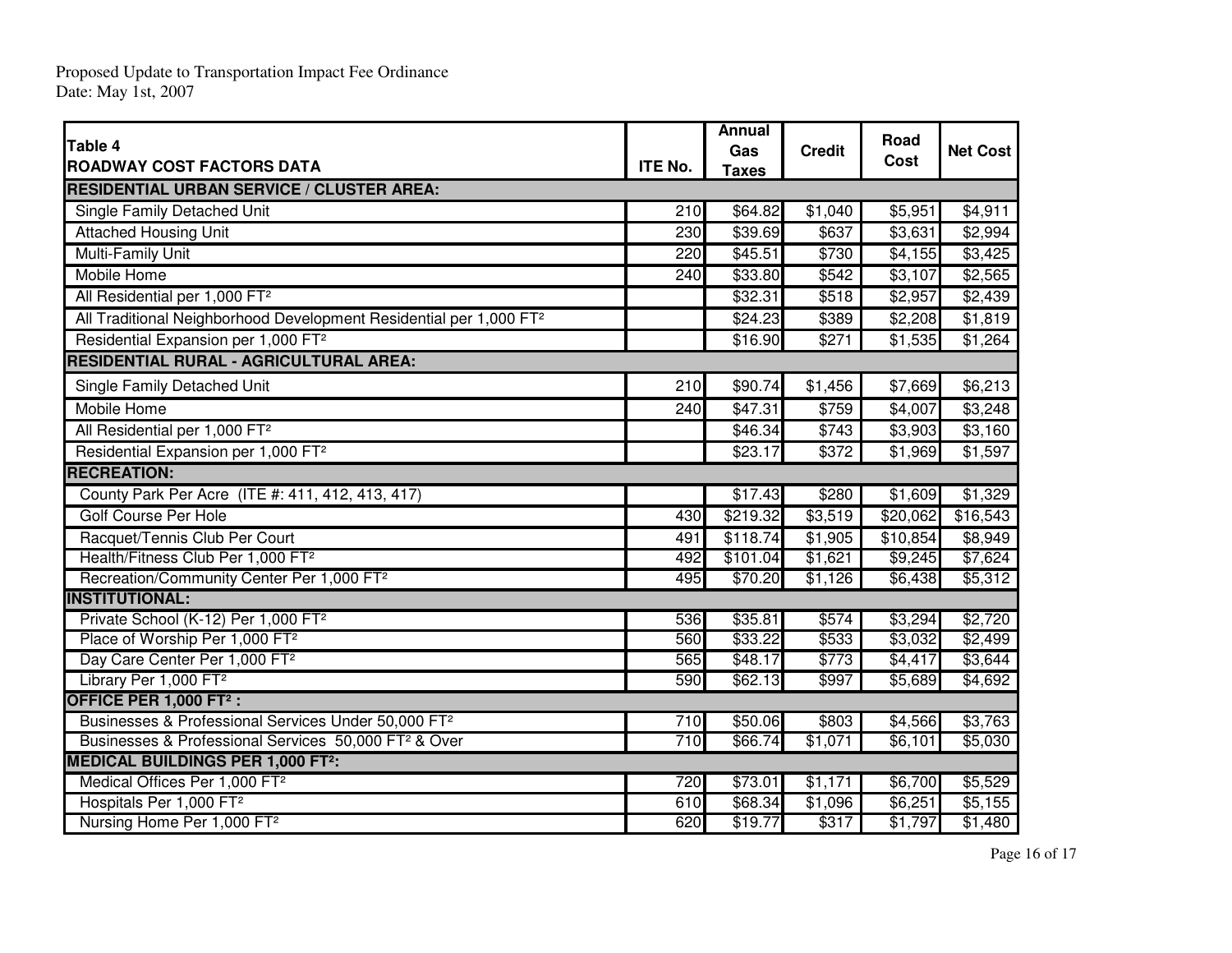Proposed Update to Transportation Impact Fee Ordinance Date: May 1st, 2007

| Table 4                                                                                         |     | Annual<br>Gas | <b>Credit</b> | Road     | <b>Net Cost</b> |  |  |  |
|-------------------------------------------------------------------------------------------------|-----|---------------|---------------|----------|-----------------|--|--|--|
| <b>ROADWAY COST FACTORS DATA</b>                                                                |     | <b>Taxes</b>  |               | Cost     |                 |  |  |  |
| <b>RESIDENTIAL URBAN SERVICE / CLUSTER AREA:</b>                                                |     |               |               |          |                 |  |  |  |
| Single Family Detached Unit                                                                     | 210 | \$64.82       | \$1,040       | \$5,951  | \$4,911         |  |  |  |
| <b>Attached Housing Unit</b>                                                                    | 230 | 339.69        | \$637         | \$3,631  | \$2,994         |  |  |  |
| Multi-Family Unit                                                                               | 220 | \$45.51       | \$730         | \$4,155  | $\sqrt{$3,425}$ |  |  |  |
| <b>Mobile Home</b>                                                                              | 240 | \$33.80       | \$542         | \$3,107  | \$2,565         |  |  |  |
| All Residential per 1,000 FT <sup>2</sup>                                                       |     | \$32.31       | \$518         | \$2,957  | \$2,439         |  |  |  |
| All Traditional Neighborhood Development Residential per 1,000 FT <sup>2</sup>                  |     | \$24.23       | \$389         | \$2,208  | \$1,819         |  |  |  |
| Residential Expansion per 1,000 FT <sup>2</sup>                                                 |     | \$16.90       | \$271         | \$1,535  | \$1,264         |  |  |  |
| <b>RESIDENTIAL RURAL - AGRICULTURAL AREA:</b>                                                   |     |               |               |          |                 |  |  |  |
| Single Family Detached Unit                                                                     | 210 | \$90.74       | \$1,456       | \$7,669  | \$6,213         |  |  |  |
| <b>Mobile Home</b>                                                                              | 240 | \$47.31       | \$759         | \$4,007  | \$3,248         |  |  |  |
| All Residential per 1,000 FT <sup>2</sup>                                                       |     | \$46.34       | \$743         | \$3,903  | \$3,160         |  |  |  |
| Residential Expansion per 1,000 FT <sup>2</sup>                                                 |     | \$23.17       | \$372         | \$1,969  | \$1,597         |  |  |  |
| <b>RECREATION:</b>                                                                              |     |               |               |          |                 |  |  |  |
| County Park Per Acre (ITE #: 411, 412, 413, 417)                                                |     | \$17.43       | \$280         | \$1,609  | \$1,329         |  |  |  |
| Golf Course Per Hole                                                                            | 430 | \$219.32      | \$3,519       | \$20,062 | \$16,543        |  |  |  |
| Racquet/Tennis Club Per Court                                                                   | 491 | \$118.74      | \$1,905       | \$10,854 | \$8,949         |  |  |  |
| Health/Fitness Club Per 1,000 FT <sup>2</sup>                                                   | 492 | \$101.04      | \$1,621       | \$9,245  | \$7,624         |  |  |  |
| Recreation/Community Center Per 1,000 FT <sup>2</sup>                                           | 495 | \$70.20       | \$1,126       | \$6,438  | \$5,312         |  |  |  |
| <b>INSTITUTIONAL:</b>                                                                           |     |               |               |          |                 |  |  |  |
| Private School (K-12) Per 1,000 FT <sup>2</sup>                                                 | 536 | \$35.81       | \$574         | \$3,294  | \$2,720         |  |  |  |
| Place of Worship Per 1,000 FT <sup>2</sup>                                                      | 560 | \$33.22       | \$533         | \$3,032  | \$2,499         |  |  |  |
| Day Care Center Per 1,000 FT <sup>2</sup>                                                       | 565 | \$48.17       | \$773         | \$4,417  | \$3,644         |  |  |  |
| Library Per 1,000 FT <sup>2</sup>                                                               | 590 | \$62.13       | \$997         | \$5,689  | \$4,692         |  |  |  |
| OFFICE PER 1,000 FT <sup>2</sup> :                                                              |     |               |               |          |                 |  |  |  |
| Businesses & Professional Services Under 50,000 FT <sup>2</sup>                                 | 710 | \$50.06       | \$803         | \$4,566  | \$3,763         |  |  |  |
| Businesses & Professional Services 50,000 FT <sup>2</sup> & Over                                | 710 | \$66.74       | \$1,071       | \$6,101  | \$5,030         |  |  |  |
| <b>MEDICAL BUILDINGS PER 1,000 FT<sup>2</sup>:</b><br>Medical Offices Per 1,000 FT <sup>2</sup> | 720 | \$73.01       | \$1,171       | \$6,700  | \$5,529         |  |  |  |
| Hospitals Per 1,000 FT <sup>2</sup>                                                             | 610 | \$68.34       | \$1,096       | \$6,251  | \$5,155         |  |  |  |
| Nursing Home Per 1,000 FT <sup>2</sup>                                                          | 620 | \$19.77       | \$317         | \$1,797  | \$1,480         |  |  |  |
|                                                                                                 |     |               |               |          |                 |  |  |  |